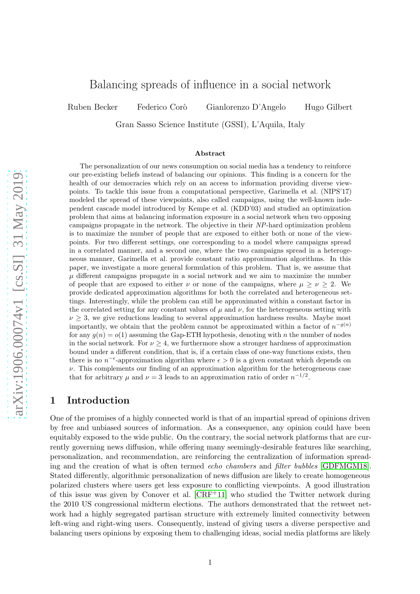# Balancing spreads of influence in a social network

Ruben Becker Federico Corò Gianlorenzo D'Angelo Hugo Gilbert

Gran Sasso Science Institute (GSSI), L'Aquila, Italy

#### Abstract

The personalization of our news consumption on social media has a tendency to reinforce our pre-existing beliefs instead of balancing our opinions. This finding is a concern for the health of our democracies which rely on an access to information providing diverse viewpoints. To tackle this issue from a computational perspective, Garimella et al. (NIPS'17) modeled the spread of these viewpoints, also called campaigns, using the well-known independent cascade model introduced by Kempe et al. (KDD'03) and studied an optimization problem that aims at balancing information exposure in a social network when two opposing campaigns propagate in the network. The objective in their *NP*-hard optimization problem is to maximize the number of people that are exposed to either both or none of the viewpoints. For two different settings, one corresponding to a model where campaigns spread in a correlated manner, and a second one, where the two campaigns spread in a heterogeneous manner, Garimella et al. provide constant ratio approximation algorithms. In this paper, we investigate a more general formulation of this problem. That is, we assume that  $\mu$  different campaigns propagate in a social network and we aim to maximize the number of people that are exposed to either  $\nu$  or none of the campaigns, where  $\mu \geq \nu \geq 2$ . We provide dedicated approximation algorithms for both the correlated and heterogeneous settings. Interestingly, while the problem can still be approximated within a constant factor in the correlated setting for any constant values of  $\mu$  and  $\nu$ , for the heterogeneous setting with  $\nu \geq 3$ , we give reductions leading to several approximation hardness results. Maybe most importantly, we obtain that the problem cannot be approximated within a factor of  $n^{-g(n)}$ for any  $g(n) = o(1)$  assuming the Gap-ETH hypothesis, denoting with n the number of nodes in the social network. For  $\nu \geq 4$ , we furthermore show a stronger hardness of approximation bound under a different condition, that is, if a certain class of one-way functions exists, then there is no  $n^{-\epsilon}$ -approximation algorithm where  $\epsilon > 0$  is a given constant which depends on  $\nu$ . This complements our finding of an approximation algorithm for the heterogeneous case that for arbitrary  $\mu$  and  $\nu = 3$  leads to an approximation ratio of order  $n^{-1/2}$ .

## 1 Introduction

One of the promises of a highly connected world is that of an impartial spread of opinions driven by free and unbiased sources of information. As a consequence, any opinion could have been equitably exposed to the wide public. On the contrary, the social network platforms that are currently governing news diffusion, while offering many seemingly-desirable features like searching, personalization, and recommendation, are reinforcing the centralization of information spreading and the creation of what is often termed *echo chambers* and *filter bubbles* [\[GDFMGM18\]](#page-13-0). Stated differently, algorithmic personalization of news diffusion are likely to create homogeneous polarized clusters where users get less exposure to conflicting viewpoints. A good illustration of this issue was given by Conover et al. [\[CRF](#page-12-0) <sup>+</sup>11] who studied the Twitter network during the 2010 US congressional midterm elections. The authors demonstrated that the retweet network had a highly segregated partisan structure with extremely limited connectivity between left-wing and right-wing users. Consequently, instead of giving users a diverse perspective and balancing users opinions by exposing them to challenging ideas, social media platforms are likely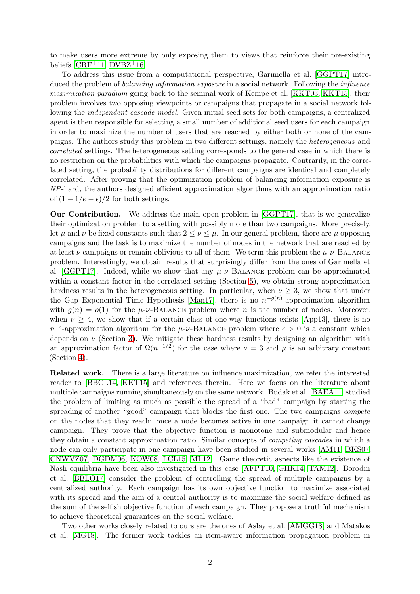to make users more extreme by only exposing them to views that reinforce their pre-existing beliefs  $[CRF<sup>+</sup>11, DVBZ<sup>+</sup>16]$  $[CRF<sup>+</sup>11, DVBZ<sup>+</sup>16]$  $[CRF<sup>+</sup>11, DVBZ<sup>+</sup>16]$ .

To address this issue from a computational perspective, Garimella et al. [GGPT17] introduced the problem of *balancing information exposure* in a social network. Following the *influence maximization paradigm* going back to the seminal work of Kempe et al. [\[KKT03,](#page-13-2) KKT15], their problem involves two opposing viewpoints or campaigns that propagate in a social network following the *independent cascade model*. Given initial seed sets for both campaigns, a centralized agent is then responsible for selecting a small number of additional seed users for each campaign in order to maximize the number of users that are reached by either both or none of the campaigns. The authors study this problem in two different settings, namely the *heterogeneous* and *correlated* settings. The heterogeneous setting corresponds to the general case in which there is no restriction on the probabilities with which the campaigns propagate. Contrarily, in the correlated setting, the probability distributions for different campaigns are identical and completely correlated. After proving that the optimization problem of balancing information exposure is *NP*-hard, the authors designed efficient approximation algorithms with an approximation ratio of  $(1 - 1/e - \epsilon)/2$  for both settings.

Our Contribution. We address the main open problem in [GGPT17], that is we generalize their optimization problem to a setting with possibly more than two campaigns. More precisely, let  $\mu$  and  $\nu$  be fixed constants such that  $2 \leq \nu \leq \mu$ . In our general problem, there are  $\mu$  opposing campaigns and the task is to maximize the number of nodes in the network that are reached by at least  $\nu$  campaigns or remain oblivious to all of them. We term this problem the  $\mu$ - $\nu$ -BALANCE problem. Interestingly, we obtain results that surprisingly differ from the ones of Garimella et al. [GGPT17]. Indeed, while we show that any  $\mu$ - $\nu$ -BALANCE problem can be approximated within a constant factor in the correlated setting (Section [5\)](#page-10-0), we obtain strong approximation hardness results in the heterogeneous setting. In particular, when  $\nu > 3$ , we show that under the Gap Exponential Time Hypothesis [\[Man17\]](#page-13-3), there is no  $n^{-g(n)}$ -approximation algorithm with  $q(n) = o(1)$  for the  $\mu$ - $\nu$ -BALANCE problem where n is the number of nodes. Moreover, when  $\nu \geq 4$ , we show that if a certain class of one-way functions exists [\[App13\]](#page-12-1), there is no  $n^{-\epsilon}$ -approximation algorithm for the  $\mu$ - $\nu$ -BALANCE problem where  $\epsilon > 0$  is a constant which depends on  $\nu$  (Section [3\)](#page-5-0). We mitigate these hardness results by designing an algorithm with an approximation factor of  $\Omega(n^{-1/2})$  for the case where  $\nu = 3$  and  $\mu$  is an arbitrary constant (Section [4\)](#page-8-0).

Related work. There is a large literature on influence maximization, we refer the interested reader to [\[BBCL14,](#page-12-2) KKT15] and references therein. Here we focus on the literature about multiple campaigns running simultaneously on the same network. Budak et al. [\[BAEA11\]](#page-12-3) studied the problem of limiting as much as possible the spread of a "bad" campaign by starting the spreading of another "good" campaign that blocks the first one. The two campaigns *compete* on the nodes that they reach: once a node becomes active in one campaign it cannot change campaign. They prove that the objective function is monotone and submodular and hence they obtain a constant approximation ratio. Similar concepts of *competing cascades* in which a node can only participate in one campaign have been studied in several works [\[AM11,](#page-12-4) [BKS07,](#page-12-5) [CNWVZ07,](#page-12-6) [DGDM06,](#page-12-7) [KOW08,](#page-13-4) [LCL15,](#page-13-5) [ML12\]](#page-13-6). Game theoretic aspects like the existence of Nash equilibria have been also investigated in this case [\[AFPT10,](#page-12-8) [GHK14,](#page-13-7) [TAM12\]](#page-14-0). Borodin et al. [\[BBLO17\]](#page-12-9) consider the problem of controlling the spread of multiple campaigns by a centralized authority. Each campaign has its own objective function to maximize associated with its spread and the aim of a central authority is to maximize the social welfare defined as the sum of the selfish objective function of each campaign. They propose a truthful mechanism to achieve theoretical guarantees on the social welfare.

Two other works closely related to ours are the ones of Aslay et al. [\[AMGG18\]](#page-12-10) and Matakos et al. [\[MG18\]](#page-13-8). The former work tackles an item-aware information propagation problem in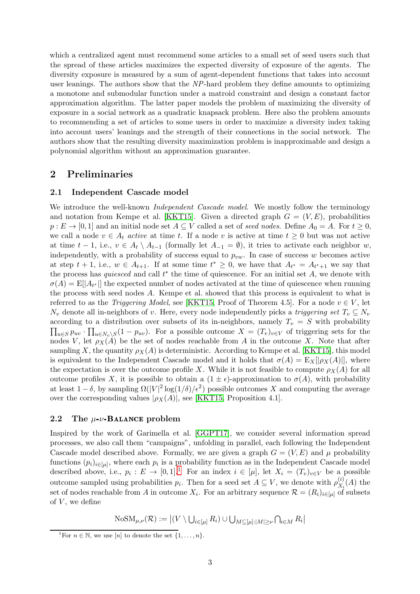which a centralized agent must recommend some articles to a small set of seed users such that the spread of these articles maximizes the expected diversity of exposure of the agents. The diversity exposure is measured by a sum of agent-dependent functions that takes into account user leanings. The authors show that the *NP*-hard problem they define amounts to optimizing a monotone and submodular function under a matroid constraint and design a constant factor approximation algorithm. The latter paper models the problem of maximizing the diversity of exposure in a social network as a quadratic knapsack problem. Here also the problem amounts to recommending a set of articles to some users in order to maximize a diversity index taking into account users' leanings and the strength of their connections in the social network. The authors show that the resulting diversity maximization problem is inapproximable and design a polynomial algorithm without an approximation guarantee.

### <span id="page-2-1"></span>2 Preliminaries

#### 2.1 Independent Cascade model

We introduce the well-known *Independent Cascade model*. We mostly follow the terminology and notation from Kempe et al. [KKT15]. Given a directed graph  $G = (V, E)$ , probabilities  $p: E \to [0,1]$  and an initial node set  $A \subseteq V$  called a set of *seed nodes*. Define  $A_0 = A$ . For  $t \ge 0$ , we call a node  $v \in A_t$  *active* at time t. If a node v is active at time  $t \geq 0$  but was not active at time  $t-1$ , i.e.,  $v \in A_t \setminus A_{t-1}$  (formally let  $A_{-1} = \emptyset$ ), it tries to activate each neighbor w, independently, with a probability of success equal to  $p_{vw}$ . In case of success w becomes active at step  $t + 1$ , i.e.,  $w \in A_{t+1}$ . If at some time  $t^* \geq 0$ , we have that  $A_{t^*} = A_{t^*+1}$  we say that the process has *quiesced* and call  $t^*$  the time of quiescence. For an initial set  $A$ , we denote with  $\sigma(A) = \mathbb{E}[A_{t^*}]$  the expected number of nodes activated at the time of quiescence when running the process with seed nodes A. Kempe et al. showed that this process is equivalent to what is referred to as the *Triggering Model*, see [KKT15, Proof of Theorem 4.5]. For a node  $v \in V$ , let  $N_v$  denote all in-neighbors of v. Here, every node independently picks a *triggering set*  $T_v \subseteq N_v$ according to a distribution over subsets of its in-neighbors, namely  $T_v = S$  with probability  $\prod_{u\in S} p_{uv} \cdot \prod_{u\in N_v\setminus S} (1-p_{uv})$ . For a possible outcome  $X = (T_v)_{v\in V}$  of triggering sets for the nodes V, let  $\rho_X(A)$  be the set of nodes reachable from A in the outcome X. Note that after sampling X, the quantity  $\rho_X(A)$  is deterministic. According to Kempe et al. [KKT15], this model is equivalent to the Independent Cascade model and it holds that  $\sigma(A) = \mathbb{E}_X[|\rho_X(A)|]$ , where the expectation is over the outcome profile X. While it is not feasible to compute  $\rho_X(A)$  for all outcome profiles X, it is possible to obtain a  $(1 \pm \epsilon)$ -approximation to  $\sigma(A)$ , with probability at least  $1-\delta$ , by sampling  $\Omega(|V|^2 \log(1/\delta)/\epsilon^2)$  possible outcomes X and computing the average over the corresponding values  $|\rho_X(A)|$ , see [KKT15, Proposition 4.1].

#### 2.2 The  $\mu$ - $\nu$ -Balance problem

Inspired by the work of Garimella et al. [GGPT17], we consider several information spread processes, we also call them "campaigns", unfolding in parallel, each following the Independent Cascade model described above. Formally, we are given a graph  $G = (V, E)$  and  $\mu$  probability functions  $(p_i)_{i \in [\mu]}$ , where each  $p_i$  is a probability function as in the Independent Cascade model described above, i.e.,  $p_i: E \to [0,1]^1$  $p_i: E \to [0,1]^1$  $p_i: E \to [0,1]^1$  For an index  $i \in [\mu]$ , let  $X_i = (T_v)_{v \in V}$  be a possible outcome sampled using probabilities  $p_i$ . Then for a seed set  $A \subseteq V$ , we denote with  $\rho_{X_i}^{(i)}$  $X_i^{(i)}(A)$  the set of nodes reachable from A in outcome  $X_i$ . For an arbitrary sequence  $\mathcal{R} = (R_i)_{i \in [\mu]}$  of subsets of  $V$ , we define

 $\mathrm{NoSM}_{\mu,\nu}(\mathcal{R}):=\left\lvert (V\setminus \bigcup_{i\in [\mu]} R_i) \cup \bigcup_{M\subseteq [\mu]: |M|\geq \nu} \bigcap_{i\in M} R_i \right\rvert$ 

<span id="page-2-0"></span><sup>&</sup>lt;sup>1</sup>For  $n \in \mathbb{N}$ , we use  $\boxed{n}$  to denote the set  $\{1, \ldots, n\}$ .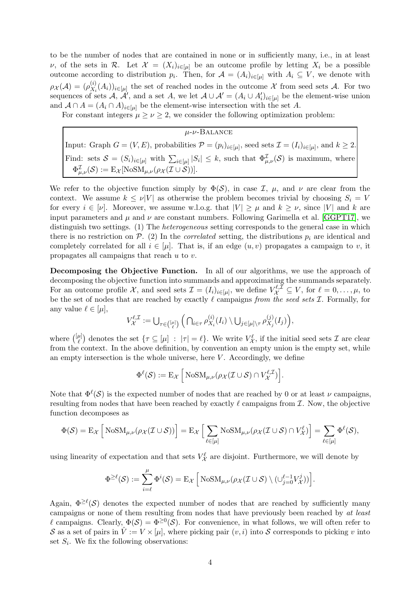to be the number of nodes that are contained in none or in sufficiently many, i.e., in at least v, of the sets in R. Let  $\mathcal{X} = (X_i)_{i \in [\mu]}$  be an outcome profile by letting  $X_i$  be a possible outcome according to distribution  $p_i$ . Then, for  $\mathcal{A} = (A_i)_{i \in [\mu]}$  with  $A_i \subseteq V$ , we denote with  $\rho_{\mathcal{X}}(\mathcal{A})=(\rho_{X_i}^{(i)}$  $(X_i(X_i))_{i\in[\mu]}$  the set of reached nodes in the outcome X from seed sets A. For two sequences of sets  $A, \mathcal{A}'$ , and a set  $A$ , we let  $A \cup \mathcal{A}' = (A_i \cup A'_i)_{i \in [\mu]}$  be the element-wise union and  $A \cap A = (A_i \cap A)_{i \in [\mu]}$  be the element-wise intersection with the set A.

For constant integers  $\mu \geq \nu \geq 2$ , we consider the following optimization problem:

| $\mu$ - $\nu$ -Balance                                                                                                                                |
|-------------------------------------------------------------------------------------------------------------------------------------------------------|
| Input: Graph $G = (V, E)$ , probabilities $\mathcal{P} = (p_i)_{i \in [\mu]}$ , seed sets $\mathcal{I} = (I_i)_{i \in [\mu]}$ , and $k \geq 2$ .      |
| Find: sets $S = (S_i)_{i \in [\mu]}$ with $\sum_{i \in [\mu]}  S_i  \leq k$ , such that $\Phi_{\mu,\nu}^{\mathcal{I}}(\mathcal{S})$ is maximum, where |
| $\Phi_{\mu,\nu}^{\mathcal{I}}(\mathcal{S}):=\mathrm{E}_{\mathcal{X}}[\text{NoSM}_{\mu,\nu}(\rho_{\mathcal{X}}(\mathcal{I}\cup\mathcal{S}))].$         |

We refer to the objective function simply by  $\Phi(S)$ , in case  $\mathcal{I}$ ,  $\mu$ , and  $\nu$  are clear from the context. We assume  $k \leq \nu |V|$  as otherwise the problem becomes trivial by choosing  $S_i = V$ for every  $i \in [\nu]$ . Moreover, we assume w.l.o.g. that  $|V| \ge \mu$  and  $k \ge \nu$ , since |V| and k are input parameters and  $\mu$  and  $\nu$  are constant numbers. Following Garimella et al. [GGPT17], we distinguish two settings. (1) The *heterogeneous* setting corresponds to the general case in which there is no restriction on  $P_1$ . (2) In the *correlated* setting, the distributions  $p_i$  are identical and completely correlated for all  $i \in [\mu]$ . That is, if an edge  $(u, v)$  propagates a campaign to v, it propagates all campaigns that reach u to v.

Decomposing the Objective Function. In all of our algorithms, we use the approach of decomposing the objective function into summands and approximating the summands separately. For an outcome profile X, and seed sets  $\mathcal{I} = (I_i)_{i \in [\mu]},$  we define  $V_{\mathcal{X}}^{\ell, \bar{\mathcal{I}}} \subseteq V$ , for  $\ell = 0, \ldots, \mu$ , to be the set of nodes that are reached by exactly ℓ campaigns *from the seed sets* I. Formally, for any value  $\ell \in [\mu],$ 

$$
V_{\mathcal{X}}^{\ell,\mathcal{I}}:=\bigcup\nolimits_{\tau\in\binom{[\mu]}{\ell}}\Big(\bigcap_{i\in\tau}\rho_{X_i}^{(i)}(I_i)\setminus\bigcup_{j\in[\mu]\setminus\tau}\rho_{X_j}^{(j)}(I_j)\Big),
$$

where  $\binom{[\mu]}{\ell}$  $\ell^{(\mu)}$  denotes the set  $\{\tau \subseteq [\mu] : |\tau| = \ell\}$ . We write  $V_{\mathcal{X}}^{\ell}$ , if the initial seed sets  $\mathcal{I}$  are clear from the context. In the above definition, by convention an empty union is the empty set, while an empty intersection is the whole universe, here  $V$ . Accordingly, we define

$$
\Phi^{\ell}(\mathcal{S}) := \mathrm{E}_{\mathcal{X}} \left[ \mathrm{NoSM}_{\mu,\nu}(\rho_{\mathcal{X}}(\mathcal{I} \cup \mathcal{S}) \cap V_{\mathcal{X}}^{\ell,\mathcal{I}}) \right].
$$

Note that  $\Phi^{\ell}(\mathcal{S})$  is the expected number of nodes that are reached by 0 or at least  $\nu$  campaigns, resulting from nodes that have been reached by exactly  $\ell$  campaigns from  $\mathcal{I}$ . Now, the objective function decomposes as

$$
\Phi(\mathcal{S}) = \mathbb{E}_{\mathcal{X}}\left[\text{NoSM}_{\mu,\nu}(\rho_{\mathcal{X}}(\mathcal{I}\cup\mathcal{S}))\right] = \mathbb{E}_{\mathcal{X}}\left[\sum_{\ell\in[\mu]} \text{NoSM}_{\mu,\nu}(\rho_{\mathcal{X}}(\mathcal{I}\cup\mathcal{S})\cap V_{\mathcal{X}}^{\ell})\right] = \sum_{\ell\in[\mu]} \Phi^{\ell}(\mathcal{S}),
$$

using linearity of expectation and that sets  $V_X^{\ell}$  are disjoint. Furthermore, we will denote by

$$
\Phi^{\geq \ell}(\mathcal{S}) := \sum_{i=\ell}^{\mu} \Phi^{i}(\mathcal{S}) = \mathrm{E}_{\mathcal{X}} \left[ \mathrm{NoSM}_{\mu,\nu}(\rho_{\mathcal{X}}(\mathcal{I} \cup \mathcal{S}) \setminus (\cup_{j=0}^{\ell-1} V_{\mathcal{X}}^{j})) \right].
$$

Again,  $\Phi^{\geq \ell}(\mathcal{S})$  denotes the expected number of nodes that are reached by sufficiently many campaigns or none of them resulting from nodes that have previously been reached by *at least* l campaigns. Clearly,  $\Phi(\mathcal{S}) = \Phi^{\geq 0}(\mathcal{S})$ . For convenience, in what follows, we will often refer to S as a set of pairs in  $V = V \times [\mu]$ , where picking pair  $(v, i)$  into S corresponds to picking v into set  $S_i$ . We fix the following observations: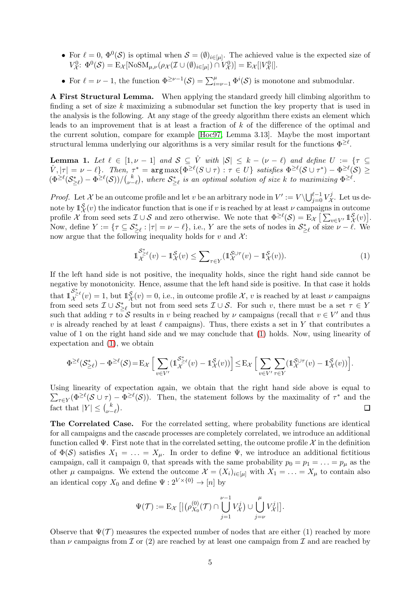- For  $\ell = 0$ ,  $\Phi^0(\mathcal{S})$  is optimal when  $\mathcal{S} = (\emptyset)_{i \in [\mu]}$ . The achieved value is the expected size of  $V^0_{\mathcal{X}}$ :  $\Phi^0(\mathcal{S}) = \mathbb{E}_{\mathcal{X}}[\text{NoSM}_{\mu,\nu}(\rho_{\mathcal{X}}(\mathcal{I} \cup (\emptyset)_{i\in[\mu]})) \cap V^0_{\mathcal{X}})] = \mathbb{E}_{\mathcal{X}}[[V^0_{\mathcal{X}}]].$
- For  $\ell = \nu 1$ , the function  $\Phi^{\geq \nu 1}(\mathcal{S}) = \sum_{i=\nu-1}^{\mu} \Phi^i(\mathcal{S})$  is monotone and submodular.

A First Structural Lemma. When applying the standard greedy hill climbing algorithm to finding a set of size k maximizing a submodular set function the key property that is used in the analysis is the following. At any stage of the greedy algorithm there exists an element which leads to an improvement that is at least a fraction of k of the difference of the optimal and the current solution, compare for example [\[Hoc97,](#page-13-9) Lemma 3.13]. Maybe the most important structural lemma underlying our algorithms is a very similar result for the functions  $\Phi^{\geq \ell}$ .

<span id="page-4-1"></span>**Lemma 1.** Let  $\ell \in [1, \nu - 1]$  and  $\mathcal{S} \subseteq \hat{V}$  with  $|\mathcal{S}| \leq k - (\nu - \ell)$  and define  $U := \{ \tau \subseteq$  $\hat{V}, |\tau| = \nu - \ell$ . Then,  $\tau^* = \argmax \{ \Phi^{\geq \ell}(S \cup \tau) : \tau \in U \}$  satisfies  $\Phi^{\geq \ell}(\mathcal{S} \cup \tau^*) - \Phi^{\geq \ell}(\mathcal{S}) \geq 0$  $(\Phi^{\geq \ell}(\mathcal{S}^*_{\geq \ell}) - \Phi^{\geq \ell}(\mathcal{S}))/\binom{k}{\nu - k}$  $\bigcup_{\nu-\ell}^k$ ), where  $\mathcal{S}_{\geq \ell}^*$  is an optimal solution of size  $k$  to maximizing  $\Phi^{\geq \ell}$ .

*Proof.* Let X be an outcome profile and let v be an arbitrary node in  $V' := V \setminus \bigcup_{j=0}^{\ell-1} V_{\mathcal{X}}^j$  $\chi^{\mathcal{I}}$ . Let us denote by  $\mathbb{1}_{\mathcal{X}}^{\mathcal{S}}(v)$  the indicator function that is one if v is reached by at least  $\nu$  campaigns in outcome profile X from seed sets  $\mathcal{I} \cup \mathcal{S}$  and zero otherwise. We note that  $\Phi^{\geq \ell}(\mathcal{S}) = \mathbb{E}_{\mathcal{X}} \left[ \sum_{v \in V'} \mathbb{1}_{\mathcal{X}}^{\mathcal{S}}(v) \right]$ . Now, define  $Y := \{ \tau \subseteq S_{\geq \ell}^* : |\tau| = \nu - \ell \}, \text{ i.e., } Y \text{ are the sets of nodes in } S_{\geq \ell}^* \text{ of size } \nu - \ell. \text{ We}$ now argue that the following inequality holds for v and  $\mathcal{X}$ :

<span id="page-4-0"></span>
$$
\mathbb{1}_{\mathcal{X}}^{\mathcal{S}_{\geq \ell}^*}(v) - \mathbb{1}_{\mathcal{X}}^{\mathcal{S}}(v) \leq \sum_{\tau \in Y} (\mathbb{1}_{\mathcal{X}}^{\mathcal{S} \cup \tau}(v) - \mathbb{1}_{\mathcal{X}}^{\mathcal{S}}(v)). \tag{1}
$$

If the left hand side is not positive, the inequality holds, since the right hand side cannot be negative by monotonicity. Hence, assume that the left hand side is positive. In that case it holds that  $1\frac{S_{\geq}^{*}}{\chi}(v) = 1$ , but  $1\frac{S}{\chi}(v) = 0$ , i.e., in outcome profile X, v is reached by at least  $\nu$  campaigns from seed sets  $\mathcal{I} \cup \mathcal{S}_{\geq \ell}^*$  but not from seed sets  $\mathcal{I} \cup \mathcal{S}$ . For such v, there must be a set  $\tau \in Y$ such that adding  $\tau$  to  $S$  results in v being reached by  $\nu$  campaigns (recall that  $v \in V'$  and thus v is already reached by at least  $\ell$  campaigns). Thus, there exists a set in Y that contributes a value of 1 on the right hand side and we may conclude that [\(1\)](#page-4-0) holds. Now, using linearity of expectation and [\(1\)](#page-4-0), we obtain

$$
\Phi^{\geq \ell}(\mathcal{S}_{\geq \ell}^*) - \Phi^{\geq \ell}(\mathcal{S}) \! = \! \mathbf{E}_{\mathcal{X}} \Big[ \sum_{v \in V'} (\mathbb{1}_{\mathcal{X}}^{\mathcal{S}_{\geq \ell}^*}(v) - \mathbb{1}_{\mathcal{X}}^{\mathcal{S}}(v)) \Big] \! \leq \! \mathbf{E}_{\mathcal{X}} \Big[ \sum_{v \in V'} \sum_{\tau \in Y} (\mathbb{1}_{\mathcal{X}}^{\mathcal{S} \cup \tau}(v) - \mathbb{1}_{\mathcal{X}}^{\mathcal{S}}(v)) \Big].
$$

Using linearity of expectation again, we obtain that the rig ht hand side above is equal to  $\sum_{\tau \in Y} (\Phi^{\geq \ell}(\mathcal{S} \cup \tau) - \Phi^{\geq \ell}(\mathcal{S}))$ . Then, the statement follows by the maximality of  $\tau^*$  and the fact that  $|Y| \leq {k \choose \nu}$  $_{\nu-\ell}^{\ \ k}$ .  $\Box$ 

The Correlated Case. For the correlated setting, where probability functions are identical for all campaigns and the cascade processes are completely correlated, we introduce an additional function called  $\Psi$ . First note that in the correlated setting, the outcome profile X in the definition of  $\Phi(\mathcal{S})$  satisfies  $X_1 = \ldots = X_u$ . In order to define  $\Psi$ , we introduce an additional fictitious campaign, call it campaign 0, that spreads with the same probability  $p_0 = p_1 = \ldots = p_\mu$  as the other  $\mu$  campaigns. We extend the outcome  $\mathcal{X} = (X_i)_{i \in [\mu]}$  with  $X_1 = \ldots = X_\mu$  to contain also an identical copy  $X_0$  and define  $\Psi: 2^{V \times \{0\}} \to [n]$  by

$$
\Psi(\mathcal{T}) := \mathrm{E}_{\mathcal{X}}\left[ \left| \left( \rho_{X_0}^{(0)}(\mathcal{T}) \cap \bigcup_{j=1}^{\nu-1} V_{\mathcal{X}}^j \right) \cup \bigcup_{j=\nu}^{\mu} V_{\mathcal{X}}^j \right| \right].
$$

Observe that  $\Psi(\mathcal{T})$  measures the expected number of nodes that are either (1) reached by more than  $\nu$  campaigns from  $\mathcal I$  or (2) are reached by at least one campaign from  $\mathcal I$  and are reached by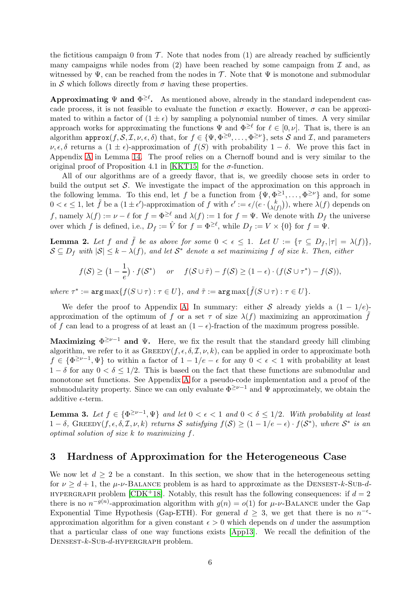the fictitious campaign 0 from  $\mathcal T$ . Note that nodes from (1) are already reached by sufficiently many campaigns while nodes from  $(2)$  have been reached by some campaign from  $\mathcal I$  and, as witnessed by  $\Psi$ , can be reached from the nodes in T. Note that  $\Psi$  is monotone and submodular in S which follows directly from  $\sigma$  having these properties.

Approximating  $\Psi$  and  $\Phi^{\geq \ell}$ . As mentioned above, already in the standard independent cascade process, it is not feasible to evaluate the function  $\sigma$  exactly. However,  $\sigma$  can be approximated to within a factor of  $(1 \pm \epsilon)$  by sampling a polynomial number of times. A very similar approach works for approximating the functions  $\Psi$  and  $\Phi^{\geq \ell}$  for  $\ell \in [0, \nu]$ . That is, there is an algorithm  $\text{approx}(f, \mathcal{S}, \mathcal{I}, \nu, \epsilon, \delta)$  that, for  $f \in {\Psi, \Phi^{\geq 0}, \dots, \Phi^{\geq \nu}}$ , sets  $\mathcal S$  and  $\mathcal I$ , and parameters  $\nu, \epsilon, \delta$  returns a  $(1 \pm \epsilon)$ -approximation of  $f(S)$  with probability  $1 - \delta$ . We prove this fact in Appendix [A](#page-15-0) in Lemma [14.](#page-15-1) The proof relies on a Chernoff bound and is very similar to the original proof of Proposition 4.1 in [KKT15] for the  $\sigma$ -function.

All of our algorithms are of a greedy flavor, that is, we greedily choose sets in order to build the output set  $\mathcal{S}$ . We investigate the impact of the approximation on this approach in the following lemma. To this end, let f be a function from  $\{\Psi, \Phi^{\geq 1}, \dots, \Phi^{\geq \nu}\}\$  and, for some  $0 < \epsilon \leq 1$ , let  $\tilde{f}$  be a  $(1 \pm \epsilon')$ -approximation of  $f$  with  $\epsilon' := \epsilon/(e \cdot {k \choose \lambda)}$  $\lambda(f)$ , where  $\lambda(f)$  depends on f, namely  $\lambda(f) := \nu - \ell$  for  $f = \Phi^{\geq \ell}$  and  $\lambda(f) := 1$  for  $f = \Psi$ . We denote with  $D_f$  the universe over which f is defined, i.e.,  $D_f := \hat{V}$  for  $f = \Phi^{\geq \ell}$ , while  $D_f := V \times \{0\}$  for  $f = \Psi$ .

<span id="page-5-1"></span>**Lemma 2.** Let f and  $\tilde{f}$  be as above for some  $0 < \epsilon \leq 1$ . Let  $U := \{ \tau \subseteq D_f, |\tau| = \lambda(f) \}$ ,  $S \subseteq D_f$  with  $|S| \leq k - \lambda(f)$ , and let  $S^*$  denote a set maximizing f of size k. Then, either

$$
f(\mathcal{S}) \geq (1 - \frac{1}{e}) \cdot f(\mathcal{S}^*)
$$
 or  $f(\mathcal{S} \cup \tilde{\tau}) - f(\mathcal{S}) \geq (1 - \epsilon) \cdot (f(\mathcal{S} \cup \tau^*) - f(\mathcal{S})),$ 

 $where \tau^* := \arg \max \{ f(S \cup \tau) : \tau \in U \}, \text{ and } \tilde{\tau} := \arg \max \{ \tilde{f}(S \cup \tau) : \tau \in U \}.$ 

We defer the proof to Appendix [A.](#page-15-0) In summary: either S already yields a  $(1 - 1/e)$ approximation of the optimum of f or a set  $\tau$  of size  $\lambda(f)$  maximizing an approximation  $\tilde{f}$ of f can lead to a progress of at least an  $(1 - \epsilon)$ -fraction of the maximum progress possible.

<span id="page-5-2"></span>Maximizing  $\Phi^{\geq \nu-1}$  and  $\Psi$ . Here, we fix the result that the standard greedy hill climbing algorithm, we refer to it as  $\text{GREDY}(f, \epsilon, \delta, \mathcal{I}, \nu, k)$ , can be applied in order to approximate both  $f \in {\Phi}^{\geq \nu-1}, \Psi$  to within a factor of  $1 - 1/e - \epsilon$  for any  $0 < \epsilon < 1$  with probability at least  $1 - \delta$  for any  $0 < \delta \leq 1/2$ . This is based on the fact that these functions are submodular and monotone set functions. See Appendix [A](#page-15-0) for a pseudo-code implementation and a proof of the submodularity property. Since we can only evaluate  $\Phi^{\geq \nu-1}$  and  $\Psi$  approximately, we obtain the additive  $\epsilon$ -term.

<span id="page-5-3"></span>**Lemma 3.** Let  $f \in {\Phi}^{\geq \nu-1}, \Psi$  *and let*  $0 < \epsilon < 1$  *and*  $0 < \delta \leq 1/2$ *. With probability at least*  $1 - \delta$ , GREEDY( $f, \epsilon, \delta, \mathcal{I}, \nu, k$ ) *returns* S *satisfying*  $f(\mathcal{S}) \geq (1 - 1/e - \epsilon) \cdot f(\mathcal{S}^*)$ , *where*  $\mathcal{S}^*$  *is an optimal solution of size* k *to maximizing* f*.*

### <span id="page-5-0"></span>3 Hardness of Approximation for the Heterogeneous Case

We now let  $d \geq 2$  be a constant. In this section, we show that in the heterogeneous setting for  $\nu \geq d + 1$ , the  $\mu$ - $\nu$ -BALANCE problem is as hard to approximate as the DENSEST- $k$ -SUB- $d$ -HYPERGRAPH problem [\[CDK](#page-12-11)+18]. Notably, this result has the following consequences: if  $d = 2$ there is no  $n^{-g(n)}$ -approximation algorithm with  $g(n) = o(1)$  for  $\mu$ - $\nu$ -BALANCE under the Gap Exponential Time Hypothesis (Gap-ETH). For general  $d \geq 3$ , we get that there is no  $n^{-\epsilon}$ approximation algorithm for a given constant  $\epsilon > 0$  which depends on d under the assumption that a particular class of one way functions exists [\[App13\]](#page-12-1). We recall the definition of the Densest-k-Sub-d-hypergraph problem.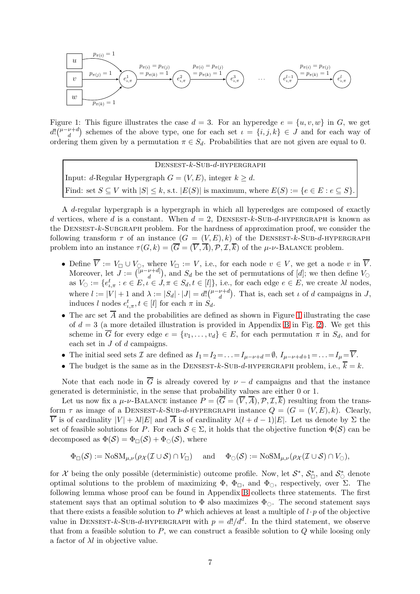

<span id="page-6-0"></span>Figure 1: This figure illustrates the case  $d = 3$ . For an hyperedge  $e = \{u, v, w\}$  in G, we get  $d! \binom{\mu-\nu+d}{d}$  $\binom{\nu+d}{d}$  schemes of the above type, one for each set  $\iota = \{i, j, k\} \in J$  and for each way of ordering them given by a permutation  $\pi \in S_d$ . Probabilities that are not given are equal to 0.

 $D$ ENSEST- $k$ -SUB- $d$ -HYPERGRAPH Input: d-Regular Hypergraph  $G = (V, E)$ , integer  $k \geq d$ . Find: set  $S \subseteq V$  with  $|S| \leq k$ , s.t.  $|E(S)|$  is maximum, where  $E(S) := \{e \in E : e \subseteq S\}$ .

A d-regular hypergraph is a hypergraph in which all hyperedges are composed of exactly d vertices, where d is a constant. When  $d = 2$ , DENSEST-k-SUB-d-HYPERGRAPH is known as the Densest-k-Subgraph problem. For the hardness of approximation proof, we consider the following transform  $\tau$  of an instance  $(G = (V, E), k)$  of the DENSEST-k-SUB-d-HYPERGRAPH problem into an instance  $\tau(G, k) = (\overline{G} = (\overline{V}, \overline{A}), \mathcal{P}, \mathcal{I}, \overline{k})$  of the  $\mu$ - $\nu$ -BALANCE problem.

- Define  $\overline{V} := V_{\square} \cup V_{\square}$ , where  $V_{\square} := V$ , i.e., for each node  $v \in V$ , we get a node v in  $\overline{V}$ . Moreover, let  $J := \begin{pmatrix} [\mu - \nu + d] \\ d \end{pmatrix}$  $\left\{ \begin{bmatrix} \mathcal{U}^{\dagger} & \mathcal{U}^{\dagger} \\ d & \end{bmatrix} \right\}$ , and  $S_d$  be the set of permutations of  $[d]$ ; we then define  $V_{\odot}$ as  $V_{\bigcirc} := \{e_{\iota,\pi}^t : e \in E, \iota \in J, \pi \in S_d, t \in [l]\}, \text{ i.e., for each edge } e \in E, \text{ we create } \lambda \iota \text{ nodes},$ where  $l := |V| + 1$  and  $\lambda := |S_d| \cdot |J| = d! \binom{\mu - \nu + d}{d}$  $\binom{\nu+d}{d}$ . That is, each set  $\iota$  of  $d$  campaigns in  $J$ , induces l nodes  $e_{\iota,\pi}^t, t \in [l]$  for each  $\pi$  in  $S_d$ .
- The arc set  $\overline{A}$  and the probabilities are defined as shown in Figure [1](#page-6-0) illustrating the case of  $d = 3$  (a more detailed illustration is provided in Appendix [B](#page-18-0) in Fig. [2\)](#page-18-1). We get this scheme in  $\overline{G}$  for every edge  $e = \{v_1, \ldots, v_d\} \in E$ , for each permutation  $\pi$  in  $S_d$ , and for each set in J of d campaigns.
- The initial seed sets  $\mathcal I$  are defined as  $I_1 = I_2 = \ldots = I_{\mu-\nu+d} = \emptyset$ ,  $I_{\mu-\nu+d+1} = \ldots = I_{\mu} = \overline{V}$ .
- The budget is the same as in the DENSEST-k-SUB-d-HYPERGRAPH problem, i.e.,  $\overline{k} = k$ .

Note that each node in  $\overline{G}$  is already covered by  $\nu - d$  campaigns and that the instance generated is deterministic, in the sense that probability values are either 0 or 1.

Let us now fix a  $\mu$ - $\nu$ -BALANCE instance  $P = (\overline{G} = (\overline{V}, \overline{A}), \mathcal{P}, \mathcal{I}, \overline{k})$  resulting from the transform  $\tau$  as image of a DENSEST-k-SUB-d-HYPERGRAPH instance  $Q = (G = (V, E), k)$ . Clearly,  $\overline{V}$  is of cardinality  $|V| + \lambda l |E|$  and  $\overline{A}$  is of cardinality  $\lambda (l + d - 1)|E|$ . Let us denote by  $\Sigma$  the set of feasible solutions for P. For each  $S \in \Sigma$ , it holds that the objective function  $\Phi(S)$  can be decomposed as  $\Phi(\mathcal{S}) = \Phi_{\Box}(\mathcal{S}) + \Phi_{\odot}(\mathcal{S})$ , where

$$
\Phi_{\Box}(\mathcal{S}) := \text{NoSM}_{\mu,\nu}(\rho_{\mathcal{X}}(\mathcal{I} \cup \mathcal{S}) \cap V_{\Box}) \quad \text{ and } \quad \Phi_{\bigcirc}(\mathcal{S}) := \text{NoSM}_{\mu,\nu}(\rho_{\mathcal{X}}(\mathcal{I} \cup \mathcal{S}) \cap V_{\bigcirc}),
$$

for  $\mathcal X$  being the only possible (deterministic) outcome profile. Now, let  $\mathcal S^*, \mathcal S^*_\Box$ , and  $\mathcal S^*_\circ$  denote optimal solutions to the problem of maximizing  $\Phi$ ,  $\Phi_{\Box}$ , and  $\Phi_{\Diamond}$ , respectively, over Σ. The following lemma whose proof can be found in Appendix [B](#page-18-0) collects three statements. The first statement says that an optimal solution to  $\Phi$  also maximizes  $\Phi_{\odot}$ . The second statement says that there exists a feasible solution to P which achieves at least a multiple of  $l \cdot p$  of the objective value in DENSEST-k-SUB-d-HYPERGRAPH with  $p = d!/d^d$ . In the third statement, we observe that from a feasible solution to  $P$ , we can construct a feasible solution to  $Q$  while loosing only a factor of  $\lambda l$  in objective value.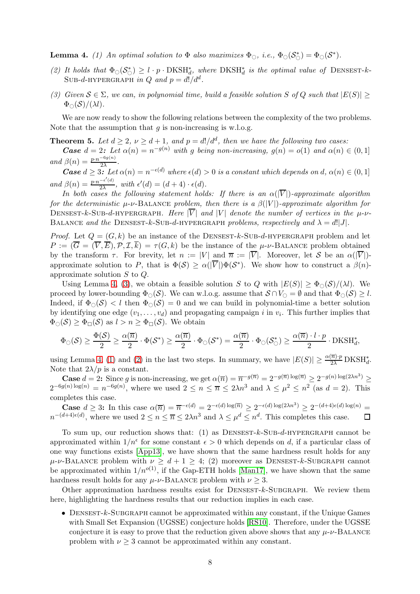<span id="page-7-2"></span><span id="page-7-1"></span>**Lemma 4.** (1) An optimal solution to  $\Phi$  also maximizes  $\Phi_{\bigcirc}$ , i.e.,  $\Phi_{\bigcirc}(\mathcal{S}_{\bigcirc}^{*}) = \Phi_{\bigcirc}(\mathcal{S}^{*})$ .

- <span id="page-7-0"></span>(2) It holds that  $\Phi_{\mathcal{O}}(\mathcal{S}_{\mathcal{O}}^*) \geq l \cdot p \cdot \text{DKSH}_{d}^*$ , where  $\text{DKSH}_{d}^*$  is the optimal value of  $\text{Densesr}-k-$ Sub-d-hypergraph in Q and  $p = d!/d^d$ .
- *(3) Given*  $S \∈ Σ$ *, we can, in polynomial time, build a feasible solution* S of Q such that  $|E(S)|$  ≥  $\Phi_{\bigcirc}(\mathcal{S})/(\lambda l)$ .

We are now ready to show the following relations between the complexity of the two problems. Note that the assumption that  $q$  is non-increasing is w.l.o.g.

**Theorem 5.** Let  $d \geq 2$ ,  $\nu \geq d+1$ , and  $p = d!/d^d$ , then we have the following two cases:

**Case**  $d = 2$ : Let  $\alpha(n) = n^{-g(n)}$  with g being non-increasing,  $g(n) = o(1)$  and  $\alpha(n) \in (0, 1]$ *and*  $\beta(n) = \frac{p \cdot n^{-6g(n)}}{2\lambda}$  $\frac{1}{2\lambda}$ .

**Case**  $d \geq 3$ : Let  $\alpha(n) = n^{-\epsilon(d)}$  where  $\epsilon(d) > 0$  is a constant which depends on  $d, \alpha(n) \in (0, 1]$ *and*  $\beta(n) = \frac{p \cdot n^{-\epsilon'(d)}}{2\lambda}$  $\frac{-\epsilon(a)}{2\lambda}$ , with  $\epsilon'(d) = (d+4) \cdot \epsilon(d)$ .

*In both cases the following statement holds: If there is an*  $\alpha(|\overline{V}|)$ *-approximate algorithm for the deterministic*  $\mu$ - $\nu$ -BALANCE *problem, then there is a*  $\beta(|V|)$ -*approximate algorithm for* DENSEST-k-SUB-d-HYPERGRAPH. Here  $|\overline{V}|$  and  $|V|$  denote the number of vertices in the  $\mu$ -v-BALANCE *and the* DENSEST-k-SUB-d-HYPERGRAPH *problems, respectively and*  $\lambda = d!|J|$ .

*Proof.* Let  $Q = (G, k)$  be an instance of the DENSEST-k-SUB-d-HYPERGRAPH problem and let  $P := (\overline{G} = (\overline{V}, \overline{E}), \mathcal{P}, \mathcal{I}, \overline{k}) = \tau(G, k)$  be the instance of the  $\mu$ - $\nu$ -BALANCE problem obtained by the transform  $\tau$ . For brevity, let  $n := |V|$  and  $\overline{n} := |\overline{V}|$ . Moreover, let S be an  $\alpha(|\overline{V}|)$ approximate solution to P, that is  $\Phi(S) \ge \alpha(|\overline{V}|) \Phi(S^*)$ . We show how to construct a  $\beta(n)$ approximate solution S to Q.

Using Lemma 4, [\(3\)](#page-7-0), we obtain a feasible solution S to Q with  $|E(S)| \geq \Phi_{\odot}(S)/(\lambda l)$ . We proceed by lower-bounding  $\Phi_{\odot}(\mathcal{S})$ . We can w.l.o.g. assume that  $\mathcal{S} \cap V_{\odot} = \emptyset$  and that  $\Phi_{\odot}(\mathcal{S}) \geq l$ . Indeed, if  $\Phi_{\text{O}}(\mathcal{S}) < l$  then  $\Phi_{\text{O}}(\mathcal{S}) = 0$  and we can build in polynomial-time a better solution by identifying one edge  $(v_1, \ldots, v_d)$  and propagating campaign i in  $v_i$ . This further implies that  $\Phi_{\cap}(\mathcal{S}) \geq \Phi_{\cap}(\mathcal{S})$  as  $l > n \geq \Phi_{\cap}(\mathcal{S})$ . We obtain

$$
\Phi_{\bigcirc}(S) \geq \frac{\Phi(S)}{2} \geq \frac{\alpha(\overline{n})}{2} \cdot \Phi(S^*) \geq \frac{\alpha(\overline{n})}{2} \cdot \Phi_{\bigcirc}(S^*) = \frac{\alpha(\overline{n})}{2} \cdot \Phi_{\bigcirc}(S^*_{\bigcirc}) \geq \frac{\alpha(\overline{n}) \cdot l \cdot p}{2} \cdot \text{DKSH}_d^*,
$$

using Lemma 4, [\(1\)](#page-7-1) and [\(2\)](#page-7-2) in the last two steps. In summary, we have  $|E(S)| \ge \frac{\alpha(\overline{n}) \cdot p}{2\lambda} DKSH_d^*$ . Note that  $2\lambda/p$  is a constant.

**Case**  $d = 2$ : Since g is non-increasing, we get  $\alpha(\overline{n}) = \overline{n}^{-g(\overline{n})} = 2^{-g(\overline{n}) \log(\overline{n})} \geq 2^{-g(n) \log(2\lambda n^3)} \geq$  $2^{-6g(n)\log(n)} = n^{-6g(n)}$ , where we used  $2 \le n \le \overline{n} \le 2\lambda n^3$  and  $\lambda \le \mu^2 \le n^2$  (as  $d = 2$ ). This completes this case.

Case  $d \geq 3$ : In this case  $\alpha(\overline{n}) = \overline{n}^{-\epsilon(d)} = 2^{-\epsilon(d) \log(\overline{n})} \geq 2^{-\epsilon(d) \log(2\lambda n^3)} \geq 2^{-(d+4)\epsilon(d) \log(n)} =$  $n^{-(d+4)\epsilon(d)}$ , where we used  $2 \le n \le \overline{n} \le 2\lambda n^3$  and  $\lambda \le \mu^d \le n^d$ . This completes this case.  $\Box$ 

To sum up, our reduction shows that: (1) as  $D$ ENSEST-k-SUB-d-HYPERGRAPH cannot be approximated within  $1/n^{\epsilon}$  for some constant  $\epsilon > 0$  which depends on d, if a particular class of one way functions exists [\[App13\]](#page-12-1), we have shown that the same hardness result holds for any  $\mu-\nu-\text{BALANCE problem with }\nu > d+1 \geq 4$ ; (2) moreover as DENSEST-k-SUBGRAPH cannot be approximated within  $1/n^{o(1)}$ , if the Gap-ETH holds [\[Man17\]](#page-13-3), we have shown that the same hardness result holds for any  $\mu$ - $\nu$ -BALANCE problem with  $\nu \geq 3$ .

Other approximation hardness results exist for  $D$ ENSEST- $k$ -SUBGRAPH. We review them here, highlighting the hardness results that our reduction implies in each case.

• DENSEST- $k$ -SUBGRAPH cannot be approximated within any constant, if the Unique Games with Small Set Expansion (UGSSE) conjecture holds [\[RS10\]](#page-13-10). Therefore, under the UGSSE conjecture it is easy to prove that the reduction given above shows that any  $\mu$ - $\nu$ -BALANCE problem with  $\nu \geq 3$  cannot be approximated within any constant.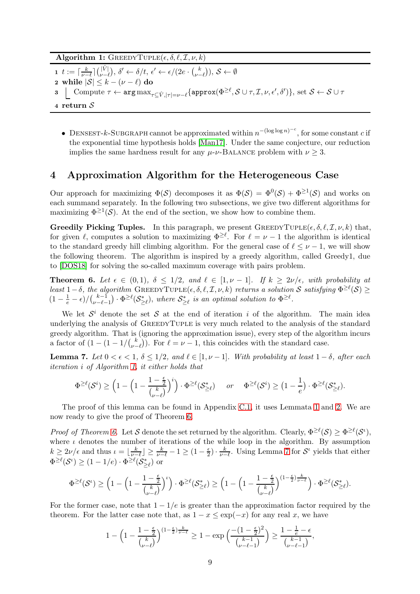Algorithm 1: GREEDYTUPLE $(\epsilon, \delta, \ell, \mathcal{I}, \nu, k)$ 

- 1  $t := \lceil \frac{k}{\nu 1} \rceil$  $\frac{k}{\nu-\ell}$   $\big]$   $\binom{|\hat{V}|}{\nu-\ell}$  $\binom{|V|}{\nu - \ell}, \delta' \leftarrow \delta/t, \epsilon' \leftarrow \epsilon/(2e \cdot \binom{k}{\nu - \ell}, \delta'$  $\binom{k}{\nu-\ell}$ ,  $\mathcal{S} \leftarrow \emptyset$
- 2 while  $|\mathcal{S}| \leq k (\nu \ell)$  do
- $\begin{split} \texttt{3} \ \ \textcolor{black} \bigsqcup \text{ Compute } \tau \leftarrow \texttt{arg\,max}_{\tau \subseteq \hat{V}, |\tau| = \nu \ell} \{ \texttt{approx}(\Phi^{\geq \ell}, \mathcal{S} \cup \tau, \mathcal{I}, \nu, \epsilon', \delta') \}, \text{ set } \mathcal{S} \leftarrow \mathcal{S} \cup \tau \end{split}$

<span id="page-8-1"></span><sup>4</sup> return S

• DENSEST-k-SUBGRAPH cannot be approximated within  $n^{-(\log \log n)^{-c}}$ , for some constant c if the exponential time hypothesis holds [\[Man17\]](#page-13-3). Under the same conjecture, our reduction implies the same hardness result for any  $\mu$ - $\nu$ -BALANCE problem with  $\nu \geq 3$ .

## <span id="page-8-0"></span>4 Approximation Algorithm for the Heterogeneous Case

Our approach for maximizing  $\Phi(S)$  decomposes it as  $\Phi(S) = \Phi^0(S) + \Phi^{\geq 1}(S)$  and works on each summand separately. In the following two subsections, we give two different algorithms for maximizing  $\Phi^{\geq 1}(\mathcal{S})$ . At the end of the section, we show how to combine them.

**Greedily Picking Tuples.** In this paragraph, we present  $\text{GREEDYTUPLE}(\epsilon, \delta, \ell, \mathcal{I}, \nu, k)$  that, for given  $\ell$ , computes a solution to maximizing  $\Phi^{\geq \ell}$ . For  $\ell = \nu - 1$  the algorithm is identical to the standard greedy hill climbing algorithm. For the general case of  $\ell \leq \nu - 1$ , we will show the following theorem. The algorithm is inspired by a greedy algorithm, called Greedy1, due to [\[DOS18\]](#page-12-12) for solving the so-called maximum coverage with pairs problem.

<span id="page-8-2"></span>**Theorem 6.** Let  $\epsilon \in (0,1)$ ,  $\delta \leq 1/2$ , and  $\ell \in [1,\nu-1]$ . If  $k \geq 2\nu/\epsilon$ , with probability at  $\text{least } 1-\delta, \text{ the algorithm } \text{GreeDYTUPLE}(\epsilon, \delta, \ell, \mathcal{I}, \nu, k) \text{ returns a solution } \mathcal{S} \text{ satisfying } \Phi^{\geq \ell}(\mathcal{S}) \geq 0$  $(1 - \frac{1}{e} - \epsilon)/(\frac{k-1}{\nu - \ell - \epsilon})$  $\mathbb{E}_{\nu-\ell-1}^{k-1}$ ) ·  $\Phi^{\geq \ell}(\mathcal{S}_{\geq \ell}^*),$  where  $\mathcal{S}_{\geq \ell}^*$  is an optimal solution to  $\Phi^{\geq \ell}.$ 

We let  $S^i$  denote the set S at the end of iteration i of the algorithm. The main idea underlying the analysis of GREEDYTUPLE is very much related to the analysis of the standard greedy algorithm. That is (ignoring the approximation issue), every step of the algorithm incurs a factor of  $(1 - (1 - 1)/\binom{k}{\nu - 1}$  $\binom{k}{\nu-\ell}$ . For  $\ell=\nu-1$ , this coincides with the standard case.

<span id="page-8-3"></span>**Lemma 7.** *Let*  $0 < \epsilon < 1$ *,*  $\delta \leq 1/2$ *, and*  $\ell \in [1, \nu - 1]$ *. With probability at least*  $1 - \delta$ *, after each iteration* i *of Algorithm [1,](#page-8-1) it either holds that*

$$
\Phi^{\geq \ell}(\mathcal{S}^i) \geq \Big(1-\Big(1-\frac{1-\frac{\epsilon}{2}}{\binom{k}{\nu-\ell}}\Big)^i\Big)\cdot \Phi^{\geq \ell}(\mathcal{S}^*_{\geq \ell}) \quad \text{ or } \quad \Phi^{\geq \ell}(\mathcal{S}^i) \geq \big(1-\frac{1}{e}\big)\cdot \Phi^{\geq \ell}(\mathcal{S}^*_{\geq \ell}).
$$

The proof of this lemma can be found in Appendix [C.1,](#page-20-0) it uses Lemmata [1](#page-4-1) and [2.](#page-5-1) We are now ready to give the proof of Theorem [6.](#page-8-2)

*Proof of Theorem [6.](#page-8-2)* Let S denote the set returned by the algorithm. Clearly,  $\Phi^{\geq \ell}(\mathcal{S}) \geq \Phi^{\geq \ell}(\mathcal{S}^{\iota}),$ where  $\iota$  denotes the number of iterations of the while loop in the algorithm. By assumption  $k \geq 2\nu/\epsilon$  and thus  $\iota = \lfloor \frac{k}{\nu - 1} \rfloor$  $\frac{k}{\nu-\ell}\rfloor\geq\frac{k}{\nu-\ell}-1\geq(1-\frac{\epsilon}{2})$  $(\frac{\epsilon}{2}) \cdot \frac{k}{\nu - 1}$  $\frac{k}{\nu-\ell}$ . Using Lemma [7](#page-8-3) for  $\mathcal{S}^{\iota}$  yields that either  $\Phi^{\geq \ell}(\mathcal{S}^{\iota}) \geq (1 - 1/e) \cdot \Phi^{\geq \ell}(\mathcal{S}_{\geq \ell}^{*})$  or

$$
\Phi^{\geq \ell}(\mathcal{S}^{\iota}) \geq \Big(1-\Big(1-\frac{1-\frac{\epsilon}{2}}{\binom{k}{\nu-\ell}}\Big)^{\iota}\Big) \cdot \Phi^{\geq \ell}(\mathcal{S}_{\geq \ell}^*) \geq \Big(1-\Big(1-\frac{1-\frac{\epsilon}{2}}{\binom{k}{\nu-\ell}}\Big)^{(1-\frac{\epsilon}{2})\frac{k}{\nu-\ell}}\Big) \cdot \Phi^{\geq \ell}(\mathcal{S}_{\geq \ell}^*).
$$

For the former case, note that  $1 - 1/e$  is greater than the approximation factor required by the theorem. For the latter case note that, as  $1 - x \leq \exp(-x)$  for any real x, we have

$$
1-\Big(1-\frac{1-\frac{\epsilon}{2}}{\binom{k}{\nu-\ell}}\Big)^{(1-\frac{\epsilon}{2})\frac{k}{\nu-\ell}}\geq 1-\exp\Big(\frac{-(1-\frac{\epsilon}{2})^2}{\binom{k-1}{\nu-\ell-1}}\Big)\geq \frac{1-\frac{1}{e}-\epsilon}{\binom{k-1}{\nu-\ell-1}},
$$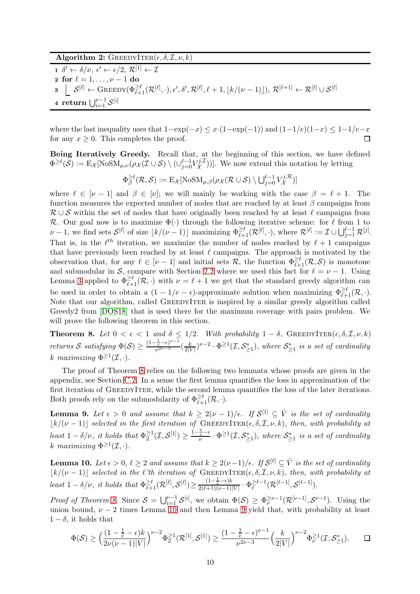#### Algorithm 2:  $\text{GREEDYITER}(\epsilon, \delta, \mathcal{I}, \nu, k)$

 $1 \ \ \delta' \leftarrow \delta/\nu, \ \epsilon' \leftarrow \epsilon/2, \ \mathcal{R}^{[1]} \leftarrow \mathcal{I}$ 2 for  $\ell = 1, ..., \nu - 1$  do<br>
3  $S^{[\ell]} \leftarrow \text{GREEDY}(\Phi_{\ell}^{\geq})$  $\mathbf{3} \ \ \ \ \ \ \ \ \ \ \ \mathcal{S}^{[\ell]} \leftarrow \mathrm{GREEDY}(\Phi_{\ell+1}^{\geq \ell}(\mathcal{R}^{[\ell]},\cdot),\epsilon',\delta',\mathcal{R}^{[\ell]},\ell+1,\lfloor k/(\nu-1)\rfloor),\, \mathcal{R}^{[\ell+1]} \leftarrow \mathcal{R}^{[\ell]} \cup \mathcal{S}^{[\ell]}$ 4 return  $\bigcup_{i=1}^{\nu-1}\mathcal{S}^{[i]}$ 

where the last inequality uses that  $1-\exp(-x) \leq x \cdot (1-\exp(-1))$  and  $(1-1/e)(1-x) \leq 1-1/e-x$  for any  $x > 0$ . This completes the proof. for any  $x \geq 0$ . This completes the proof.

Being Iteratively Greedy. Recall that, at the beginning of this section, we have defined  $\Phi^{\geq \ell}(\mathcal{S}):= \mathrm{E}_{\mathcal{X}}[\text{NoSM}_{\mu,\nu}(\rho_{\mathcal{X}}(\mathcal{I}\cup \mathcal{S})\setminus (\cup_{j=0}^{\ell-1}V_{\mathcal{X}}^{j,\mathcal{I}}$  $(X^{(1,1)}_X))$ . We now extend this notation by letting

$$
\Phi_{\beta}^{\geq \ell}(\mathcal{R}, \mathcal{S}) := \mathrm{E}_{\mathcal{X}}[\mathrm{NoSM}_{\mu, \beta}(\rho_{\mathcal{X}}(\mathcal{R} \cup \mathcal{S}) \setminus \bigcup_{j=0}^{\ell-1} V_{\mathcal{X}}^{j, \mathcal{R}})]
$$

where  $\ell \in [\nu - 1]$  and  $\beta \in [\nu]$ ; we will mainly be working with the case  $\beta = \ell + 1$ . The function measures the expected number of nodes that are reached by at least  $\beta$  campaigns from  $\mathcal{R} \cup \mathcal{S}$  within the set of nodes that have originally been reached by at least  $\ell$  campaigns from R. Our goal now is to maximize  $\Phi(\cdot)$  through the following iterative scheme: for  $\ell$  from 1 to  $\nu - 1$ , we find sets  $\mathcal{S}^{[\ell]}$  of size  $\lfloor k/(\nu - 1) \rfloor$  maximizing  $\Phi_{\ell+1}^{\geq \ell}(\mathcal{R}^{[\ell]},\cdot)$ , where  $\mathcal{R}^{[\ell]} := \mathcal{I} \cup \bigcup_{j=1}^{\ell-1} \mathcal{R}^{[j]}$ . That is, in the  $\ell^{th}$  iteration, we maximize the number of nodes reached by  $\ell + 1$  campaigns that have previously been reached by at least  $\ell$  campaigns. The approach is motivated by the observation that, for any  $\ell \in [\nu-1]$  and initial sets  $\mathcal{R}$ , the function  $\Phi_{\ell+1}^{\geq \ell}(\mathcal{R}, \mathcal{S})$  is monotone and submodular in S, compare with Section [2.2](#page-5-2) where we used this fact for  $\ell = \nu - 1$ . Using Lemma [3](#page-5-3) applied to  $\Phi_{\ell+1}^{\geq \ell}(\mathcal{R},\cdot)$  with  $\nu=\ell+1$  we get that the standard greedy algorithm can be used in order to obtain a  $(1 - 1/e - \epsilon)$ -approximate solution when maximizing  $\Phi_{\ell+1}^{\geq \ell}(\mathcal{R},\cdot)$ . Note that our algorithm, called GREEDYITER is inspired by a similar greedy algorithm called Greedy2 from [\[DOS18\]](#page-12-12) that is used there for the maximum coverage with pairs problem. We will prove the following theorem in this section.

<span id="page-9-0"></span>**Theorem 8.** Let  $0 < \epsilon < 1$  and  $\delta \leq 1/2$ . With probability  $1 - \delta$ , GREEDYITER( $\epsilon, \delta, \mathcal{I}, \nu, k$ ) *returns S satisfying*  $\Phi(S) \ge \frac{(1 - \frac{1}{e} - \epsilon)^{\nu - 1}}{\nu^{2\nu - 3}}$  $\frac{e^{-\epsilon}}{\nu^{2\nu-3}}\left(\frac{k}{2|V|}\right)$  $\frac{k}{2|V|}$ <sup> $\nu-2$ </sup> ·  $\Phi^{\geq 1}(\mathcal{I},\mathcal{S}_{\geq 1}^*),$  where  $\mathcal{S}_{\geq 1}^*$  is a set of cardinality k maximizing  $\Phi^{\geq 1}(\mathcal{I},\cdot).$ 

The proof of Theorem [8](#page-9-0) relies on the following two lemmata whose proofs are given in the appendix, see Section [C.2.](#page-20-1) In a sense the first lemma quantifies the loss in approximation of the first iteration of GREEDYITER, while the second lemma quantifies the loss of the later iterations. Both proofs rely on the submodularity of  $\Phi_{\ell+1}^{\geq \ell}(\mathcal{R},\cdot)$ .

<span id="page-9-2"></span>**Lemma 9.** Let  $\epsilon > 0$  and assume that  $k \geq 2(\nu - 1)/\epsilon$ . If  $\mathcal{S}^{[1]} \subseteq \hat{V}$  is the set of cardinality  $\lfloor k/(\nu-1) \rfloor$  *selected in the first iteration of* GREEDYITER( $\epsilon$ ,  $\delta$ ,  $\mathcal{I}$ ,  $\nu$ ,  $k$ ), then, with probability at *least*  $1 - \delta/\nu$ *, it holds that*  $\Phi_2^{\geq 1}$  $\frac{\geq 1}{2}(\mathcal{I},\mathcal{S}^{[1]}) \geq \frac{1-\frac{1}{e}-\epsilon}{\nu}\cdot \Phi^{\geq 1}(\mathcal{I},\mathcal{S}_{\geq 1}^*),$  where  $\mathcal{S}_{\geq 1}^*$  is a set of cardinality k maximizing  $\Phi^{\geq 1}(\mathcal{I},\cdot).$ 

<span id="page-9-1"></span>Lemma 10. *Let*  $\epsilon > 0$ ,  $\ell \geq 2$  *and assume that*  $k \geq 2(\nu-1)/\epsilon$ *. If*  $\mathcal{S}^{[\ell]} \subseteq \hat{V}$  *is the set of cardinality*  $\lfloor k/(\nu-1) \rfloor$  *selected in the* ℓ<sup>'th</sup> iteration of GREEDYITER( $\epsilon$ ,  $\delta$ ,  $\mathcal{I}$ ,  $\nu$ ,  $k$ ), then, with probability at  $least\ 1-\delta/\nu, \ it \ holds\ that\ \Phi_{\ell+1}^{\geq \ell}(\mathcal{R}^{[\ell]},\mathcal{S}^{[\ell]}) \geq \frac{(1-\frac{1}{e}-\epsilon)k}{2(\ell+1)(\nu-1)|V|}\cdot \Phi_{\ell}^{\geq \ell-1}$  $\frac{\geq \ell-1}{\ell}(\mathcal{R}^{[\ell-1]},\mathcal{S}^{[\ell-1]}).$ 

*Proof of Theorem [8.](#page-9-0)* Since  $S = \bigcup_{i=1}^{\nu-1} S^{[i]}$ , we obtain  $\Phi(S) \geq \Phi_{\nu}^{\geq \nu-1}(\mathcal{R}^{[\nu-1]}, \mathcal{S}^{\nu-1})$ . Using the union bound,  $\nu - 2$  times Lemma [10](#page-9-1) and then Lemma [9](#page-9-2) yield that, with probability at least  $1 - \delta$ , it holds that

$$
\Phi(\mathcal{S}) \geq \Big( \frac{(1-\frac{1}{e}-\epsilon)k}{2\nu(\nu-1)|V|} \Big)^{\nu-2} \Phi_2^{\geq 1}(\mathcal{R}^{[1]},\mathcal{S}^{[1]}) \geq \frac{(1-\frac{1}{e}-\epsilon)^{\nu-1}}{\nu^{2\nu-3}} \Big( \frac{k}{2|V|} \Big)^{\nu-2} \Phi_\nu^{\geq 1}(\mathcal{I},\mathcal{S}_{\geq 1}^*).
$$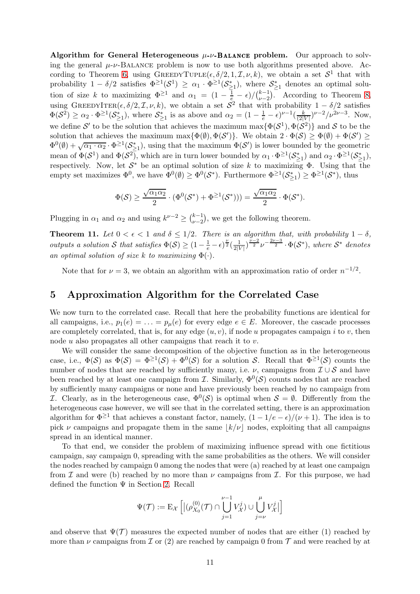Algorithm for General Heterogeneous  $\mu$ - $\nu$ -Balance problem. Our approach to solving the general  $\mu$ - $\nu$ -BALANCE problem is now to use both algorithms presented above. Ac-cording to Theorem [6,](#page-8-2) using  $\text{GREEDYTUPLE}(\epsilon, \delta/2, 1, \mathcal{I}, \nu, k)$ , we obtain a set  $\mathcal{S}^1$  that with probability  $1 - \delta/2$  satisfies  $\Phi^{\geq 1}(\mathcal{S}^1) \geq \alpha_1 \cdot \Phi^{\geq 1}(\mathcal{S}^*_{\geq 1})$ , where  $\mathcal{S}^*_{\geq 1}$  denotes an optimal solution of size k to maximizing  $\Phi^{\geq 1}$  and  $\alpha_1 = (1 - \frac{1}{e} - \epsilon)/(\frac{k-1}{\nu-2})$  $\binom{k-1}{\nu-2}$ . According to Theorem [8,](#page-9-0) using GREEDYITER( $\epsilon, \delta/2, \mathcal{I}, \nu, k$ ), we obtain a set  $\mathcal{S}^2$  that with probability  $1 - \delta/2$  satisfies  $\Phi(\mathcal{S}^2) \geq \alpha_2 \cdot \Phi^{\geq 1}(\mathcal{S}_{\geq 1}^*)$ , where  $\mathcal{S}_{\geq 1}^*$  is as above and  $\alpha_2 = (1 - \frac{1}{e} - \epsilon)^{\nu - 1}(\frac{k}{(2)^{\nu}})$  $\frac{k}{(2|V|)}\nu^{-2}/\nu^{2\nu-3}$ . Now, we define S' to be the solution that achieves the maximum  $\max{\{\Phi(S^1), \Phi(S^2)\}}$  and S to be the solution that achieves the maximum max $\{\Phi(\emptyset), \Phi(\mathcal{S}')\}$ . We obtain  $2 \cdot \Phi(\mathcal{S}) \ge \Phi(\emptyset) + \Phi(\mathcal{S}') \ge$  $\Phi^0(\emptyset) + \sqrt{\alpha_1 \cdot \alpha_2} \cdot \Phi^{\geq 1}(\mathcal{S}_{\geq 1}^*)$ , using that the maximum  $\Phi(\mathcal{S}')$  is lower bounded by the geometric mean of  $\Phi(\mathcal{S}^1)$  and  $\Phi(\mathcal{S}^2)$ , which are in turn lower bounded by  $\alpha_1 \cdot \Phi^{\geq 1}(\mathcal{S}_{\geq 1}^*)$  and  $\alpha_2 \cdot \Phi^{\geq 1}(\mathcal{S}_{\geq 1}^*)$ , respectively. Now, let  $S^*$  be an optimal solution of size k to maximizing  $\Phi$ . Using that the empty set maximizes  $\Phi^0$ , we have  $\Phi^0(\emptyset) \ge \Phi^0(\mathcal{S}^*)$ . Furthermore  $\Phi^{\geq 1}(\mathcal{S}_{\geq 1}^*) \ge \Phi^{\geq 1}(\mathcal{S}^*)$ , thus

$$
\Phi(\mathcal{S}) \ge \frac{\sqrt{\alpha_1\alpha_2}}{2} \cdot (\Phi^0(\mathcal{S}^*) + \Phi^{\ge 1}(\mathcal{S}^*))) = \frac{\sqrt{\alpha_1\alpha_2}}{2} \cdot \Phi(\mathcal{S}^*).
$$

Plugging in  $\alpha_1$  and  $\alpha_2$  and using  $k^{\nu-2} \geq {k-1 \choose \nu-2}$  $\binom{k-1}{\nu-2}$ , we get the following theorem.

**Theorem 11.** Let  $0 < \epsilon < 1$  and  $\delta \leq 1/2$ . There is an algorithm that, with probability  $1 - \delta$ , *outputs a solution* S *that satisfies*  $\Phi(\mathcal{S}) \geq (1 - \frac{1}{e} - \epsilon)^{\frac{\nu}{2}} \left( \frac{1}{2|\mathcal{V}|^2} \right)$  $\frac{1}{2|V|}$ ) $\frac{\nu-2}{2}\nu^{-\frac{2\nu-3}{2}}\cdot \Phi(\mathcal{S}^*),$  where  $\mathcal{S}^*$  denotes *an optimal solution of size* k *to maximizing*  $\Phi(\cdot)$ *.* 

Note that for  $\nu = 3$ , we obtain an algorithm with an approximation ratio of order  $n^{-1/2}$ .

### <span id="page-10-0"></span>5 Approximation Algorithm for the Correlated Case

We now turn to the correlated case. Recall that here the probability functions are identical for all campaigns, i.e.,  $p_1(e) = \ldots = p_u(e)$  for every edge  $e \in E$ . Moreover, the cascade processes are completely correlated, that is, for any edge  $(u, v)$ , if node u propagates campaign i to v, then node  $u$  also propagates all other campaigns that reach it to  $v$ .

We will consider the same decomposition of the objective function as in the heterogeneous case, i.e.,  $\Phi(S)$  as  $\Phi(\mathcal{S}) = \Phi^{\geq 1}(\mathcal{S}) + \Phi^0(\mathcal{S})$  for a solution S. Recall that  $\Phi^{\geq 1}(\mathcal{S})$  counts the number of nodes that are reached by sufficiently many, i.e.  $\nu$ , campaigns from  $\mathcal{I} \cup \mathcal{S}$  and have been reached by at least one campaign from  $\mathcal{I}$ . Similarly,  $\Phi^0(\mathcal{S})$  counts nodes that are reached by sufficiently many campaigns or none and have previously been reached by no campaign from *I*. Clearly, as in the heterogeneous case,  $\Phi^0(\mathcal{S})$  is optimal when  $\mathcal{S} = \emptyset$ . Differently from the heterogeneous case however, we will see that in the correlated setting, there is an approximation algorithm for  $\Phi^{\geq 1}$  that achieves a constant factor, namely,  $(1 - 1/e - \epsilon)/(\nu + 1)$ . The idea is to pick  $\nu$  campaigns and propagate them in the same  $|k/\nu|$  nodes, exploiting that all campaigns spread in an identical manner.

To that end, we consider the problem of maximizing influence spread with one fictitious campaign, say campaign 0, spreading with the same probabilities as the others. We will consider the nodes reached by campaign 0 among the nodes that were (a) reached by at least one campaign from I and were (b) reached by no more than  $\nu$  campaigns from I. For this purpose, we had defined the function  $\Psi$  in Section [2.](#page-2-1) Recall

$$
\Psi(\mathcal{T}) := \mathrm{E}_{\mathcal{X}}\left[ \left| (\rho_{X_0}^{(0)}(\mathcal{T}) \cap \bigcup_{j=1}^{\nu-1} V_{\mathcal{X}}^j) \cup \bigcup_{j=\nu}^{\mu} V_{\mathcal{X}}^j \right| \right]
$$

and observe that  $\Psi(\mathcal{T})$  measures the expected number of nodes that are either (1) reached by more than  $\nu$  campaigns from  $\mathcal I$  or (2) are reached by campaign 0 from  $\mathcal T$  and were reached by at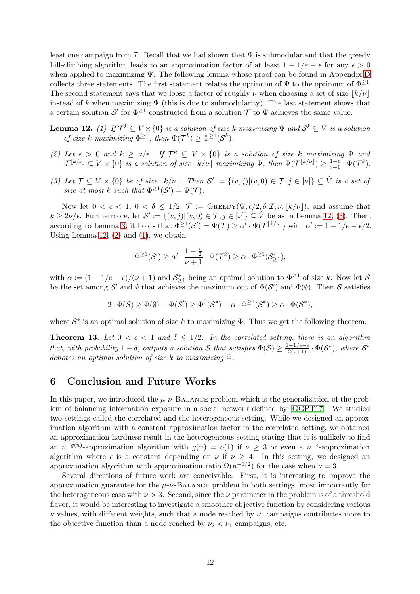least one campaign from I. Recall that we had shown that  $\Psi$  is submodular and that the greedy hill-climbing algorithm leads to an approximation factor of at least  $1 - 1/e - \epsilon$  for any  $\epsilon > 0$ when applied to maximizing Ψ. The following lemma whose proof can be found in Appendix [D](#page-22-0) collects three statements. The first statement relates the optimum of  $\Psi$  to the optimum of  $\Phi^{\geq 1}$ . The second statement says that we loose a factor of roughly  $\nu$  when choosing a set of size  $|k/\nu|$ instead of k when maximizing  $\Psi$  (this is due to submodularity). The last statement shows that a certain solution  $\mathcal{S}'$  for  $\Phi^{\geq 1}$  constructed from a solution  $\mathcal T$  to  $\Psi$  achieves the same value.

<span id="page-11-2"></span>**Lemma 12.** *(1)* If  $\mathcal{T}^k \subseteq V \times \{0\}$  is a solution of size k maximizing  $\Psi$  and  $\mathcal{S}^k \subseteq \hat{V}$  is a solution *of size k maximizing*  $\Phi^{\geq 1}$ *, then*  $\Psi(\mathcal{T}^k) \geq \Phi^{\geq 1}(\mathcal{S}^k)$ *.* 

- <span id="page-11-1"></span>(2) Let  $\epsilon > 0$  and  $k \ge \nu/\epsilon$ . If  $\mathcal{T}^k \subseteq V \times \{0\}$  is a solution of size k maximizing  $\Psi$  and  $\mathcal{T}^{[k/\nu]} \subseteq V \times \{0\}$  is a solution of size  $\lfloor k/\nu \rfloor$  maximizing  $\Psi$ , then  $\Psi(\mathcal{T}^{[k/\nu]}) \geq \frac{1-\epsilon}{\nu+1} \cdot \Psi(\mathcal{T}^k)$ .
- <span id="page-11-0"></span>(3) Let  $\mathcal{T} \subseteq V \times \{0\}$  be of size  $\lfloor k/\nu \rfloor$ . Then  $\mathcal{S}' := \{(v, j) | (v, 0) \in \mathcal{T}, j \in [\nu]\} \subseteq \hat{V}$  is a set of *size at most k such that*  $\Phi^{\geq 1}(\mathcal{S}') = \Psi(\mathcal{T})$ *.*

Now let  $0 < \epsilon < 1$ ,  $0 < \delta \leq 1/2$ ,  $\mathcal{T} := \text{GREEDY}(\Psi, \epsilon/2, \delta, \mathcal{I}, \nu, |k/\nu|)$ , and assume that  $k \geq 2\nu/\epsilon$ . Furthermore, let  $\mathcal{S}' := \{(v, j) | (v, 0) \in \mathcal{T}, j \in [\nu]\} \subseteq \hat{V}$  be as in Lemma 12, [\(3\)](#page-11-0). Then, according to Lemma [3,](#page-5-3) it holds that  $\Phi^{\geq 1}(\mathcal{S}') = \Psi(\mathcal{T}) \geq \alpha' \cdot \Psi(\mathcal{T}^{\lfloor k/\nu \rfloor})$  with  $\alpha' := 1 - 1/e - \epsilon/2$ . Using Lemma 12,  $(2)$  and  $(1)$ , we obtain

$$
\Phi^{\geq 1}(\mathcal{S}')\geq \alpha'\cdot \frac{1-\frac{\epsilon}{2}}{\nu+1}\cdot \Psi(\mathcal{T}^k)\geq \alpha\cdot \Phi^{\geq 1}(\mathcal{S}^*_{\geq 1}),
$$

with  $\alpha := (1 - 1/e - \epsilon)/(\nu + 1)$  and  $S_{\geq 1}^*$  being an optimal solution to  $\Phi^{\geq 1}$  of size k. Now let S be the set among  $\mathcal{S}'$  and  $\emptyset$  that achieves the maximum out of  $\Phi(\mathcal{S}')$  and  $\Phi(\emptyset)$ . Then  $\mathcal{S}$  satisfies

 $2 \cdot \Phi(\mathcal{S}) \ge \Phi(\emptyset) + \Phi(\mathcal{S}') \ge \Phi^0(\mathcal{S}^*) + \alpha \cdot \Phi^{\ge 1}(\mathcal{S}^*) \ge \alpha \cdot \Phi(\mathcal{S}^*),$ 

where  $S^*$  is an optimal solution of size k to maximizing  $\Phi$ . Thus we get the following theorem.

**Theorem 13.** Let  $0 < \epsilon < 1$  and  $\delta \leq 1/2$ . In the correlated setting, there is an algorithm *that, with probability*  $1 - \delta$ , *outputs* a solution S that satisfies  $\Phi(S) \ge \frac{1 - 1/e - \epsilon}{2(\nu + 1)} \cdot \Phi(S^*)$ , where  $S^*$ *denotes an optimal solution of size* k *to maximizing* Φ*.*

### 6 Conclusion and Future Works

In this paper, we introduced the  $\mu$ - $\nu$ -BALANCE problem which is the generalization of the problem of balancing information exposure in a social network defined by [GGPT17]. We studied two settings called the correlated and the heterogeneous setting. While we designed an approximation algorithm with a constant approximation factor in the correlated setting, we obtained an approximation hardness result in the heterogeneous setting stating that it is unlikely to find an  $n^{-g(n)}$ -approximation algorithm with  $g(n) = o(1)$  if  $\nu \geq 3$  or even a  $n^{-\epsilon}$ -approximation algorithm where  $\epsilon$  is a constant depending on  $\nu$  if  $\nu \geq 4$ . In this setting, we designed an approximation algorithm with approximation ratio  $\Omega(n^{-1/2})$  for the case when  $\nu = 3$ .

Several directions of future work are conceivable. First, it is interesting to improve the approximation guarantee for the  $\mu$ - $\nu$ -BALANCE problem in both settings, most importantly for the heterogeneous case with  $\nu > 3$ . Second, since the  $\nu$  parameter in the problem is of a threshold flavor, it would be interesting to investigate a smoother objective function by considering various  $\nu$  values, with different weights, such that a node reached by  $\nu_1$  campaigns contributes more to the objective function than a node reached by  $\nu_2 < \nu_1$  campaigns, etc.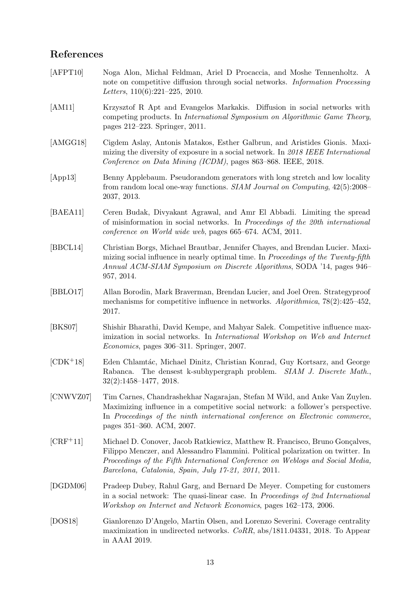## References

- <span id="page-12-8"></span>[AFPT10] Noga Alon, Michal Feldman, Ariel D Procaccia, and Moshe Tennenholtz. A note on competitive diffusion through social networks. *Information Processing Letters*, 110(6):221–225, 2010.
- <span id="page-12-4"></span>[AM11] Krzysztof R Apt and Evangelos Markakis. Diffusion in social networks with competing products. In *International Symposium on Algorithmic Game Theory*, pages 212–223. Springer, 2011.
- <span id="page-12-10"></span>[AMGG18] Cigdem Aslay, Antonis Matakos, Esther Galbrun, and Aristides Gionis. Maximizing the diversity of exposure in a social network. In *2018 IEEE International Conference on Data Mining (ICDM)*, pages 863–868. IEEE, 2018.
- <span id="page-12-1"></span>[App13] Benny Applebaum. Pseudorandom generators with long stretch and low locality from random local one-way functions. *SIAM Journal on Computing*, 42(5):2008– 2037, 2013.
- <span id="page-12-3"></span>[BAEA11] Ceren Budak, Divyakant Agrawal, and Amr El Abbadi. Limiting the spread of misinformation in social networks. In *Proceedings of the 20th international conference on World wide web*, pages 665–674. ACM, 2011.
- <span id="page-12-2"></span>[BBCL14] Christian Borgs, Michael Brautbar, Jennifer Chayes, and Brendan Lucier. Maximizing social influence in nearly optimal time. In *Proceedings of the Twenty-fifth Annual ACM-SIAM Symposium on Discrete Algorithms*, SODA '14, pages 946– 957, 2014.
- <span id="page-12-9"></span>[BBLO17] Allan Borodin, Mark Braverman, Brendan Lucier, and Joel Oren. Strategyproof mechanisms for competitive influence in networks. *Algorithmica*, 78(2):425–452, 2017.
- <span id="page-12-5"></span>[BKS07] Shishir Bharathi, David Kempe, and Mahyar Salek. Competitive influence maximization in social networks. In *International Workshop on Web and Internet Economics*, pages 306–311. Springer, 2007.
- <span id="page-12-11"></span>[CDK<sup>+18]</sup> Eden Chlamtác, Michael Dinitz, Christian Konrad, Guy Kortsarz, and George Rabanca. The densest k-subhypergraph problem. *SIAM J. Discrete Math.*, 32(2):1458–1477, 2018.
- <span id="page-12-6"></span>[CNWVZ07] Tim Carnes, Chandrashekhar Nagarajan, Stefan M Wild, and Anke Van Zuylen. Maximizing influence in a competitive social network: a follower's perspective. In *Proceedings of the ninth international conference on Electronic commerce*, pages 351–360. ACM, 2007.
- <span id="page-12-0"></span>[CRF<sup>+</sup>11] Michael D. Conover, Jacob Ratkiewicz, Matthew R. Francisco, Bruno Gonçalves, Filippo Menczer, and Alessandro Flammini. Political polarization on twitter. In *Proceedings of the Fifth International Conference on Weblogs and Social Media, Barcelona, Catalonia, Spain, July 17-21, 2011*, 2011.
- <span id="page-12-7"></span>[DGDM06] Pradeep Dubey, Rahul Garg, and Bernard De Meyer. Competing for customers in a social network: The quasi-linear case. In *Proceedings of 2nd International Workshop on Internet and Network Economics*, pages 162–173, 2006.
- <span id="page-12-12"></span>[DOS18] Gianlorenzo D'Angelo, Martin Olsen, and Lorenzo Severini. Coverage centrality maximization in undirected networks. *CoRR*, abs/1811.04331, 2018. To Appear in AAAI 2019.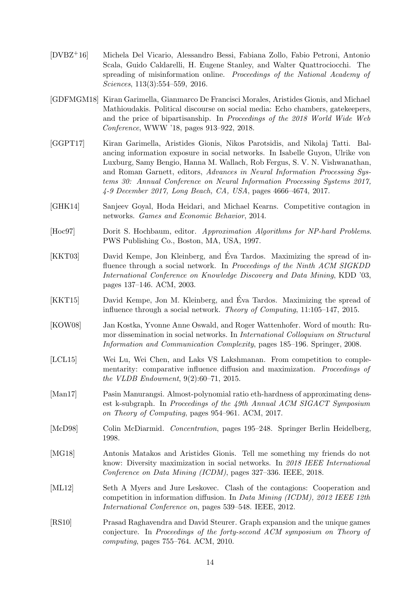- <span id="page-13-1"></span>[DVBZ+16] Michela Del Vicario, Alessandro Bessi, Fabiana Zollo, Fabio Petroni, Antonio Scala, Guido Caldarelli, H. Eugene Stanley, and Walter Quattrociocchi. The spreading of misinformation online. *Proceedings of the National Academy of Sciences*, 113(3):554–559, 2016.
- <span id="page-13-0"></span>[GDFMGM18] Kiran Garimella, Gianmarco De Francisci Morales, Aristides Gionis, and Michael Mathioudakis. Political discourse on social media: Echo chambers, gatekeepers, and the price of bipartisanship. In *Proceedings of the 2018 World Wide Web Conference*, WWW '18, pages 913–922, 2018.
- [GGPT17] Kiran Garimella, Aristides Gionis, Nikos Parotsidis, and Nikolaj Tatti. Balancing information exposure in social networks. In Isabelle Guyon, Ulrike von Luxburg, Samy Bengio, Hanna M. Wallach, Rob Fergus, S. V. N. Vishwanathan, and Roman Garnett, editors, *Advances in Neural Information Processing Systems 30: Annual Conference on Neural Information Processing Systems 2017, 4-9 December 2017, Long Beach, CA, USA*, pages 4666–4674, 2017.
- <span id="page-13-7"></span>[GHK14] Sanjeev Goyal, Hoda Heidari, and Michael Kearns. Competitive contagion in networks. *Games and Economic Behavior*, 2014.
- <span id="page-13-9"></span>[Hoc97] Dorit S. Hochbaum, editor. *Approximation Algorithms for NP-hard Problems*. PWS Publishing Co., Boston, MA, USA, 1997.
- <span id="page-13-2"></span>[KKT03] David Kempe, Jon Kleinberg, and Eva Tardos. Maximizing the spread of in- ´ fluence through a social network. In *Proceedings of the Ninth ACM SIGKDD International Conference on Knowledge Discovery and Data Mining*, KDD '03, pages 137–146. ACM, 2003.
- [KKT15] David Kempe, Jon M. Kleinberg, and Éva Tardos. Maximizing the spread of influence through a social network. *Theory of Computing*, 11:105–147, 2015.
- <span id="page-13-4"></span>[KOW08] Jan Kostka, Yvonne Anne Oswald, and Roger Wattenhofer. Word of mouth: Rumor dissemination in social networks. In *International Colloquium on Structural Information and Communication Complexity*, pages 185–196. Springer, 2008.
- <span id="page-13-5"></span>[LCL15] Wei Lu, Wei Chen, and Laks VS Lakshmanan. From competition to complementarity: comparative influence diffusion and maximization. *Proceedings of the VLDB Endowment*, 9(2):60–71, 2015.
- <span id="page-13-3"></span>[Man17] Pasin Manurangsi. Almost-polynomial ratio eth-hardness of approximating densest k-subgraph. In *Proceedings of the 49th Annual ACM SIGACT Symposium on Theory of Computing*, pages 954–961. ACM, 2017.
- <span id="page-13-11"></span>[McD98] Colin McDiarmid. *Concentration*, pages 195–248. Springer Berlin Heidelberg, 1998.
- <span id="page-13-8"></span>[MG18] Antonis Matakos and Aristides Gionis. Tell me something my friends do not know: Diversity maximization in social networks. In *2018 IEEE International Conference on Data Mining (ICDM)*, pages 327–336. IEEE, 2018.
- <span id="page-13-6"></span>[ML12] Seth A Myers and Jure Leskovec. Clash of the contagions: Cooperation and competition in information diffusion. In *Data Mining (ICDM), 2012 IEEE 12th International Conference on*, pages 539–548. IEEE, 2012.
- <span id="page-13-10"></span>[RS10] Prasad Raghavendra and David Steurer. Graph expansion and the unique games conjecture. In *Proceedings of the forty-second ACM symposium on Theory of computing*, pages 755–764. ACM, 2010.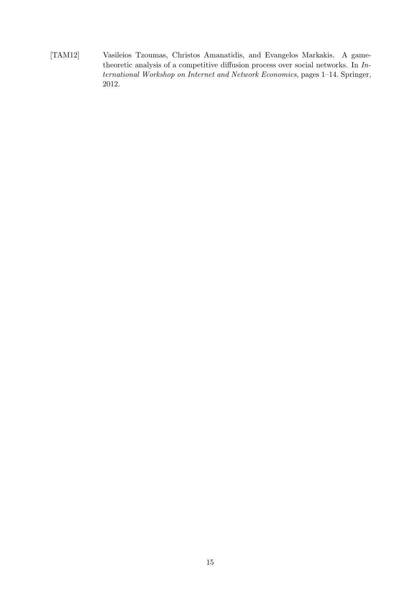<span id="page-14-0"></span>[TAM12] Vasileios Tzoumas, Christos Amanatidis, and Evangelos Markakis. A gametheoretic analysis of a competitive diffusion process over social networks. In *International Workshop on Internet and Network Economics*, pages 1–14. Springer, 2012.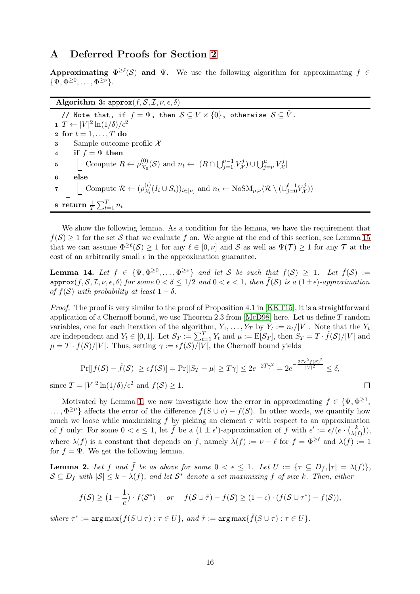## <span id="page-15-0"></span>A Deferred Proofs for Section [2](#page-2-1)

Approximating  $\Phi^{\geq \ell}(\mathcal{S})$  and  $\Psi$ . We use the following algorithm for approximating  $f \in$  $\{\Psi, \Phi^{\geq 0}, \ldots, \Phi^{\geq \nu}\}.$ 

### Algorithm 3:  $approx(f, \mathcal{S}, \mathcal{I}, \nu, \epsilon, \delta)$

// Note that, if  $f = \Psi$ , then  $S \subseteq V \times \{0\}$ , otherwise  $S \subseteq \hat{V}$ . 1  $T \leftarrow |V|^2 \ln(1/\delta)/\epsilon^2$ 2 for  $t = 1, \ldots, T$  do 3 Sample outcome profile X<br>4 if  $f = \Psi$  then if  $f = \Psi$  then 5 Compute  $R \leftarrow \rho_{X_0}^{(0)}$  $X_0^{(0)}(\mathcal{S})$  and  $n_t \leftarrow |(R \cap \bigcup_{j=1}^{\nu-1} V_{\mathcal{X}}^j)$  $(X^j) \cup \bigcup_{j=\nu}^{\mu} V^j_{\mathcal{X}}$  $\mathring{\mathcal{X}}$ 6 else 7 Compute  $\mathcal{R} \leftarrow (\rho_{\mathcal{X}_i}^{(i)})$  $(\mathcal{X}_i^{(i)}(I_i \cup S_i))_{i \in [\mu]}$  and  $n_t \leftarrow \text{NoSM}_{\mu,\nu}(\mathcal{R} \setminus (\cup_{j=0}^{\ell-1} V_{\mathcal{X}_i}^j)$  $\binom{J}{\mathcal{X}}$  $\textbf s$  return  $\frac{1}{T}\sum_{t=1}^T n_t$ 

We show the following lemma. As a condition for the lemma, we have the requirement that  $f(\mathcal{S}) \geq 1$  for the set S that we evaluate f on. We argue at the end of this section, see Lemma [15](#page-16-0) that we can assume  $\Phi^{\geq \ell}(\mathcal{S}) \geq 1$  for any  $\ell \in [0, \nu]$  and  $\mathcal{S}$  as well as  $\Psi(\mathcal{T}) \geq 1$  for any  $\mathcal{T}$  at the cost of an arbitrarily small  $\epsilon$  in the approximation guarantee.

<span id="page-15-1"></span>**Lemma 14.** Let  $f \in {\Psi, \Phi^{\geq 0}, \dots, \Phi^{\geq \nu}}$  and let S be such that  $f(\mathcal{S}) \geq 1$ . Let  $\tilde{f}(\mathcal{S}) :=$  $\text{approx}(f, \mathcal{S}, \mathcal{I}, \nu, \epsilon, \delta)$  *for some*  $0 < \delta \leq 1/2$  *and*  $0 < \epsilon < 1$ *, then*  $\tilde{f}(\mathcal{S})$  *is a*  $(1 \pm \epsilon)$ *-approximation of*  $f(S)$  *with probability at least*  $1 - \delta$ *.* 

*Proof.* The proof is very similar to the proof of Proposition 4.1 in [KKT15], it is a straightforward application of a Chernoff bound, we use Theorem 2.3 from  $[McD98]$  here. Let us define T random variables, one for each iteration of the algorithm,  $Y_1, \ldots, Y_T$  by  $Y_t := n_t/|V|$ . Note that the  $Y_t$ are independent and  $Y_t \in [0,1]$ . Let  $S_T := \sum_{t=1}^T Y_t$  and  $\mu := \mathbb{E}[S_T]$ , then  $S_T = T \cdot \tilde{f}(\mathcal{S})/|V|$  and  $\mu = T \cdot f(\mathcal{S})/|V|$ . Thus, setting  $\gamma := \epsilon f(\mathcal{S})/|V|$ , the Chernoff bound yields

$$
\Pr[|f(\mathcal{S}) - \tilde{f}(\mathcal{S})| \ge \epsilon f(\mathcal{S})] = \Pr[|S_T - \mu| \ge T\gamma] \le 2e^{-2T\gamma^2} = 2e^{-\frac{2T\epsilon^2 f(\mathcal{S})^2}{|V|^2}} \le \delta,
$$

 $\Box$ 

since  $T = |V|^2 \ln(1/\delta)/\epsilon^2$  and  $f(\mathcal{S}) \ge 1$ .

Motivated by Lemma [1,](#page-4-1) we now investigate how the error in approximating  $f \in {\Psi, \Phi^{\geq 1}}$ ,  $\ldots$ ,  $\Phi^{\geq \nu}$  affects the error of the difference  $f(S \cup v) - f(S)$ . In other words, we quantify how much we loose while maximizing f by picking an element  $\tau$  with respect to an approximation of f only: For some  $0 < \epsilon \leq 1$ , let  $\tilde{f}$  be a  $(1 \pm \epsilon')$ -approximation of f with  $\epsilon' := \epsilon/(e \cdot {k \choose \lambda)}$  $_{\lambda(f)}^{\kappa})),$ where  $\lambda(f)$  is a constant that depends on f, namely  $\lambda(f) := \nu - \ell$  for  $f = \Phi^{\geq \ell}$  and  $\lambda(f) := 1$ for  $f = \Psi$ . We get the following lemma.

**Lemma 2.** Let f and  $\tilde{f}$  be as above for some  $0 < \epsilon \leq 1$ . Let  $U := \{\tau \subseteq D_f, |\tau| = \lambda(f)\},\$  $S \subseteq D_f$  with  $|S| \leq k - \lambda(f)$ , and let  $S^*$  denote a set maximizing f of size k. Then, either

$$
f(\mathcal{S}) \ge (1 - \frac{1}{e}) \cdot f(\mathcal{S}^*)
$$
 or  $f(\mathcal{S} \cup \tilde{\tau}) - f(\mathcal{S}) \ge (1 - \epsilon) \cdot (f(\mathcal{S} \cup \tau^*) - f(\mathcal{S})),$ 

 $where \tau^* := \arg \max \{ f(S \cup \tau) : \tau \in U \}, \text{ and } \tilde{\tau} := \arg \max \{ \tilde{f}(S \cup \tau) : \tau \in U \}.$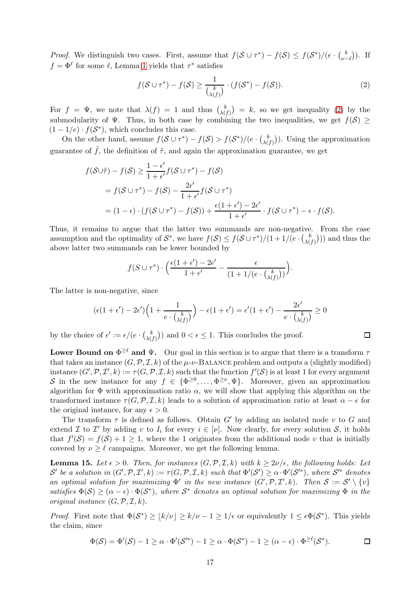*Proof.* We distinguish two cases. First, assume that  $f(\mathcal{S} \cup \tau^*) - f(\mathcal{S}) \leq f(\mathcal{S}^*)/((e \cdot \binom{k}{\nu - 1})^2)$  $\binom{k}{\nu-\ell}$ ). If  $f = \Phi^{\ell}$  for some  $\ell$ , Lemma [1](#page-4-1) yields that  $\tau^*$  satisfies

<span id="page-16-1"></span>
$$
f(\mathcal{S} \cup \tau^*) - f(\mathcal{S}) \ge \frac{1}{\binom{k}{\lambda(f)}} \cdot (f(\mathcal{S}^*) - f(\mathcal{S})). \tag{2}
$$

For  $f = \Psi$ , we note that  $\lambda(f) = 1$  and thus  $\lambda(f)$  $\binom{k}{\lambda(f)}$  = k, so we get inequality [\(2\)](#page-16-1) by the submodularity of  $\Psi$ . Thus, in both case by combining the two inequalities, we get  $f(\mathcal{S}) \geq$  $(1-1/e) \cdot f(S^*)$ , which concludes this case.

On the other hand, assume  $f(S \cup \tau^*) - f(S) > f(S^*)/(e \cdot {k \choose \lambda})$  $\lambda(f)$ ). Using the approximation guarantee of  $\tilde{f}$ , the definition of  $\tilde{\tau}$ , and again the approximation guarantee, we get

$$
f(\mathcal{S} \cup \tilde{\tau}) - f(\mathcal{S}) \ge \frac{1 - \epsilon'}{1 + \epsilon'} f(\mathcal{S} \cup \tau^*) - f(\mathcal{S})
$$
  
=  $f(\mathcal{S} \cup \tau^*) - f(\mathcal{S}) - \frac{2\epsilon'}{1 + \epsilon'} f(\mathcal{S} \cup \tau^*)$   
=  $(1 - \epsilon) \cdot (f(\mathcal{S} \cup \tau^*) - f(\mathcal{S})) + \frac{\epsilon(1 + \epsilon') - 2\epsilon'}{1 + \epsilon'} \cdot f(\mathcal{S} \cup \tau^*) - \epsilon \cdot f(\mathcal{S}).$ 

Thus, it remains to argue that the latter two summands are non-negative. From the case assumption and the optimality of  $S^*$ , we have  $f(S) \leq f(\mathcal{S} \cup \tau^*)/(1+1/(e \cdot {k \choose \lambda)}$  $\binom{k}{\lambda(f)}$ ) and thus the above latter two summands can be lower bounded by

$$
f(S \cup \tau^*) \cdot \Big( \frac{\epsilon(1+\epsilon')-2\epsilon'}{1+\epsilon'} - \frac{\epsilon}{(1+1/(e \cdot {k \choose \lambda(f)}))} \Big).
$$

The latter is non-negative, since

$$
(\epsilon(1+\epsilon')-2\epsilon')\Big(1+\frac{1}{e\cdot {k\choose \lambda(f)}}\Big)-\epsilon(1+\epsilon')=\epsilon'(1+\epsilon')-\frac{2\epsilon'}{e\cdot {k\choose \lambda(f)}}\geq 0
$$

by the choice of  $\epsilon' := \epsilon/(e \cdot {k \choose \lambda)}$  $\binom{k}{\lambda(f)}$  and  $0 < \epsilon \leq 1$ . This concludes the proof.

Lower Bound on  $\Phi^{\geq \ell}$  and  $\Psi$ . Our goal in this section is to argue that there is a transform  $\tau$ that takes an instance  $(G, \mathcal{P}, \mathcal{I}, k)$  of the  $\mu$ - $\nu$ -BALANCE problem and outputs a (slightly modified) instance  $(G', \mathcal{P}, \mathcal{I}', k) := \tau(G, \mathcal{P}, \mathcal{I}, k)$  such that the function  $f'(\mathcal{S})$  is at least 1 for every argument S in the new instance for any  $f \in {\{\Phi^{\geq 0}, \ldots, \Phi^{\geq \nu}, \Psi\}}$ . Moreover, given an approximation algorithm for  $\Phi$  with approximation ratio  $\alpha$ , we will show that applying this algorithm on the transformed instance  $\tau(G, \mathcal{P}, \mathcal{I}, k)$  leads to a solution of approximation ratio at least  $\alpha - \epsilon$  for the original instance, for any  $\epsilon > 0$ .

The transform  $\tau$  is defined as follows. Obtain G' by adding an isolated node v to G and extend  $\mathcal I$  to  $\mathcal I'$  by adding v to  $I_i$  for every  $i \in [\nu]$ . Now clearly, for every solution  $\mathcal S$ , it holds that  $f'(\mathcal{S}) = f(\mathcal{S}) + 1 \geq 1$ , where the 1 originates from the additional node v that is initially covered by  $\nu \geq \ell$  campaigns. Moreover, we get the following lemma.

<span id="page-16-0"></span>**Lemma 15.** Let  $\epsilon > 0$ . Then, for instances  $(G, \mathcal{P}, \mathcal{I}, k)$  with  $k \geq 2\nu/\epsilon$ , the following holds: Let  $\mathcal{S}'$  be a solution in  $(G', \mathcal{P}, \mathcal{I}', k) := \tau(G, \mathcal{P}, \mathcal{I}, k)$  such that  $\Phi'(\mathcal{S}') \geq \alpha \cdot \Phi'(\mathcal{S}'^*)$ , where  $\mathcal{S}'^*$  denotes *an optimal solution for maximizing*  $\Phi'$  *in the new instance*  $(G', \mathcal{P}, \mathcal{I}', k)$ *. Then*  $S := S' \setminus \{v\}$ *satisfies*  $\Phi(\mathcal{S}) \geq (\alpha - \epsilon) \cdot \Phi(\mathcal{S}^*)$ , where  $\mathcal{S}^*$  denotes an optimal solution for maximizing  $\Phi$  *in the original instance*  $(G, \mathcal{P}, \mathcal{I}, k)$ *.* 

*Proof.* First note that  $\Phi(\mathcal{S}^*) \geq \lfloor k/\nu \rfloor \geq k/\nu - 1 \geq 1/\epsilon$  or equivalently  $1 \leq \epsilon \Phi(\mathcal{S}^*)$ . This yields the claim, since

$$
\Phi(\mathcal{S}) = \Phi'(\mathcal{S}) - 1 \ge \alpha \cdot \Phi'(\mathcal{S}'^*) - 1 \ge \alpha \cdot \Phi(\mathcal{S}^*) - 1 \ge (\alpha - \epsilon) \cdot \Phi^{\ge \ell}(\mathcal{S}^*).
$$

 $\Box$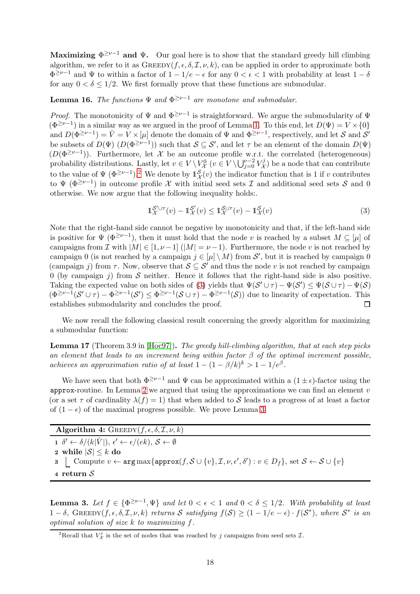Maximizing  $\Phi^{\geq \nu-1}$  and  $\Psi$ . Our goal here is to show that the standard greedy hill climbing algorithm, we refer to it as  $G$ REEDY $(f, \epsilon, \delta, \mathcal{I}, \nu, k)$ , can be applied in order to approximate both  $\Phi^{\geq \nu-1}$  and  $\Psi$  to within a factor of  $1-1/e-\epsilon$  for any  $0<\epsilon<1$  with probability at least  $1-\delta$ for any  $0 < \delta \leq 1/2$ . We first formally prove that these functions are submodular.

### Lemma 16. *The functions* Ψ *and* Φ <sup>≥</sup>ν−<sup>1</sup> *are monotone and submodular.*

*Proof.* The monotonicity of  $\Psi$  and  $\Phi^{\geq \nu-1}$  is straightforward. We argue the submodularity of  $\Psi$  $(\Phi^{\geq \nu-1})$  in a similar way as we argued in the proof of Lemma [1.](#page-4-1) To this end, let  $D(\Psi) = V \times \{0\}$ and  $D(\Phi^{\geq \nu-1}) = \hat{V} = V \times [\mu]$  denote the domain of  $\Psi$  and  $\Phi^{\geq \nu-1}$ , respectively, and let S and S' be subsets of  $D(\Psi)$   $(D(\Phi^{\geq \nu-1}))$  such that  $S \subseteq S'$ , and let  $\tau$  be an element of the domain  $D(\Psi)$  $(D(\Phi^{\geq \nu-1}))$ . Furthermore, let X be an outcome profile w.r.t. the correlated (heterogeneous) probability distributions. Lastly, let  $v \in V \setminus V^0_{\mathcal{X}}$   $(v \in V \setminus \bigcup_{j=0}^{\nu-2} V^j_{\mathcal{X}}$  $\mathcal{X}^{\mathcal{I}}(\mathcal{X})$  be a node that can contribute to the value of  $\Psi$  ( $\Phi^{\geq \nu-1}$ ).<sup>[2](#page-17-0)</sup> We denote by  $\mathbb{1}_{\mathcal{X}}^{\mathcal{S}}(v)$  the indicator function that is 1 if v contributes to  $\Psi$  ( $\Phi^{\geq \nu-1}$ ) in outcome profile X with initial seed sets I and additional seed sets S and 0 otherwise. We now argue that the following inequality holds:.

<span id="page-17-1"></span>
$$
\mathbb{1}_{\mathcal{X}}^{\mathcal{S}' \cup \tau}(v) - \mathbb{1}_{\mathcal{X}}^{\mathcal{S}'}(v) \le \mathbb{1}_{\mathcal{X}}^{\mathcal{S} \cup \tau}(v) - \mathbb{1}_{\mathcal{X}}^{\mathcal{S}}(v) \tag{3}
$$

Note that the right-hand side cannot be negative by monotonicity and that, if the left-hand side is positive for  $\Psi$  ( $\Phi^{\geq \nu-1}$ ), then it must hold that the node v is reached by a subset  $M \subseteq [\mu]$  of campaigns from I with  $|M| \in [1, \nu-1]$  ( $|M| = \nu-1$ ). Furthermore, the node v is not reached by campaign 0 (is not reached by a campaign  $j \in [\mu] \setminus M$ ) from  $\mathcal{S}'$ , but it is reached by campaign 0 (campaign j) from  $\tau$ . Now, observe that  $S \subseteq S'$  and thus the node v is not reached by campaign 0 (by campaign j) from  $S$  neither. Hence it follows that the right-hand side is also positive. Taking the expected value on both sides of [\(3\)](#page-17-1) yields that  $\Psi(S' \cup \tau) - \Psi(S') \leq \Psi(S \cup \tau) - \Psi(S)$  $(\Phi^{\geq \nu-1}(\mathcal{S}' \cup \tau) - \Phi^{\geq \nu-1}(\mathcal{S}') \leq \Phi^{\geq \nu-1}(\mathcal{S} \cup \tau) - \Phi^{\geq \nu-1}(\mathcal{S}))$  due to linearity of expectation. This establishes submodularity and concludes the proof.

We now recall the following classical result concerning the greedy algorithm for maximizing a submodular function:

<span id="page-17-2"></span>Lemma 17 (Theorem 3.9 in [\[Hoc97\]](#page-13-9)). *The greedy hill-climbing algorithm, that at each step picks an element that leads to an increment being within factor* β *of the optimal increment possible, achieves an approximation ratio of at least*  $1 - (1 - \beta/k)^k > 1 - 1/e^{\beta}$ .

We have seen that both  $\Phi^{\geq \nu-1}$  and  $\Psi$  can be approximated within a  $(1 \pm \epsilon)$ -factor using the approx-routine. In Lemma [2](#page-5-1) we argued that using the approximations we can find an element  $v$ (or a set  $\tau$  of cardinality  $\lambda(f) = 1$ ) that when added to S leads to a progress of at least a factor of  $(1 - \epsilon)$  of the maximal progress possible. We prove Lemma [3.](#page-5-3)

Algorithm 4:  $G$ REEDY $(f, \epsilon, \delta, \mathcal{I}, \nu, k)$  $\mathbf{1} \ \ \delta' \leftarrow \delta/(k|\hat{V}|), \ \epsilon' \leftarrow \epsilon/(ek), \ \mathcal{S} \leftarrow \emptyset$ 2 while  $|S| \leq k$  do<br>3 | Compute  $v \leftarrow$ 3  $\Box$  Compute  $v \leftarrow \arg \max \{ \text{approx}(f, \mathcal{S} \cup \{v\}, \mathcal{I}, \nu, \epsilon', \delta') : v \in D_f \}$ , set  $\mathcal{S} \leftarrow \mathcal{S} \cup \{v\}$ <sup>4</sup> return S

**Lemma 3.** Let  $f \in {\Phi}^{\geq \nu-1}, \Psi$  *and let*  $0 < \epsilon < 1$  *and*  $0 < \delta \leq 1/2$ *. With probability at least*  $1 - \delta$ , GREEDY( $f, \epsilon, \delta, \mathcal{I}, \nu, k$ ) *returns* S *satisfying*  $f(\mathcal{S}) \geq (1 - 1/e - \epsilon) \cdot f(\mathcal{S}^*)$ , *where*  $\mathcal{S}^*$  *is an optimal solution of size* k *to maximizing* f*.*

<span id="page-17-0"></span><sup>&</sup>lt;sup>2</sup>Recall that  $V^j_{\mathcal{X}}$  is the set of nodes that was reached by j campaigns from seed sets  $\mathcal{I}$ .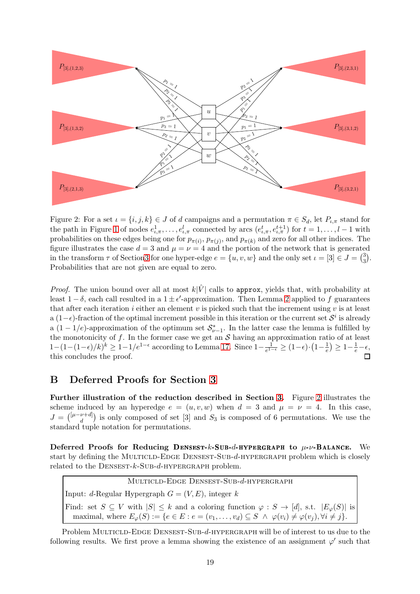

<span id="page-18-1"></span>Figure 2: For a set  $\iota = \{i, j, k\} \in J$  of d campaigns and a permutation  $\pi \in S_d$ , let  $P_{\iota,\pi}$  stand for the path in Figure [1](#page-6-0) of nodes  $e_{\iota,\pi}^1, \ldots, e_{\iota,\pi}^l$  connected by arcs  $(e_{\iota,\pi}^t, e_{\iota,\pi}^{t+1})$  for  $t = 1, \ldots, l-1$  with probabilities on these edges being one for  $p_{\pi(i)}, p_{\pi(j)}$ , and  $p_{\pi(k)}$  and zero for all other indices. The figure illustrates the case  $d = 3$  and  $\mu = \nu = 4$  and the portion of the network that is generated in the transform  $\tau$  of Sectio[n3](#page-5-0) for one hyper-edge  $e = \{u, v, w\}$  and the only set  $\iota = [3] \in J = \binom{3}{3}$  $_{3}^{3}).$ Probabilities that are not given are equal to zero.

*Proof.* The union bound over all at most  $k|\hat{V}|$  calls to approx, yields that, with probability at least  $1 - \delta$ , each call resulted in a  $1 \pm \epsilon'$ -approximation. Then Lemma [2](#page-5-1) applied to f guarantees that after each iteration i either an element v is picked such that the increment using v is at least a  $(1-\epsilon)$ -fraction of the optimal increment possible in this iteration or the current set  $\mathcal{S}^i$  is already a  $(1-1/e)$ -approximation of the optimum set  $S_{\nu-1}^*$ . In the latter case the lemma is fulfilled by the monotonicity of f. In the former case we get an  $S$  having an approximation ratio of at least  $1-(1-(1-\epsilon)/k)^k \geq 1-1/e^{1-\epsilon}$  according to Lemma [17.](#page-17-2) Since  $1-\frac{1}{e^{1-\epsilon}}$  $\frac{1}{e^{1-\epsilon}} \geq (1-\epsilon) \cdot \left(1 - \frac{1}{e}\right)$  $\frac{1}{e}$ )  $\geq 1 - \frac{1}{e} - \epsilon$ , this concludes the proof.

## <span id="page-18-0"></span>B Deferred Proofs for Section [3](#page-5-0)

Further illustration of the reduction described in Section [3.](#page-5-0) Figure [2](#page-18-1) illustrates the scheme induced by an hyperedge  $e = (u, v, w)$  when  $d = 3$  and  $\mu = \nu = 4$ . In this case,  $J = {\lbrack l^{\mu-\nu+d} \rbrack}$  $\binom{\nu+d}{d}$  is only composed of set [3] and  $S_3$  is composed of 6 permutations. We use the standard tuple notation for permutations.

Deferred Proofs for Reducing DENSEST-k-SUB-d-HYPERGRAPH to  $\mu$ - $\nu$ -Balance. We start by defining the MULTICLD-EDGE DENSEST-SUB-d-HYPERGRAPH problem which is closely related to the  $D$ ENSEST- $k$ -SUB- $d$ -HYPERGRAPH problem.

Multicld-Edge Densest-Sub-d-hypergraph Input: d-Regular Hypergraph  $G = (V, E)$ , integer k Find: set  $S \subseteq V$  with  $|S| \leq k$  and a coloring function  $\varphi : S \to [d]$ , s.t.  $|E_{\varphi}(S)|$  is maximal, where  $E_{\varphi}(S) := \{e \in E : e = (v_1, \ldots, v_d) \subseteq S \land \varphi(v_i) \neq \varphi(v_i), \forall i \neq j\}.$ 

Problem MULTICLD-EDGE DENSEST-SUB-d-HYPERGRAPH will be of interest to us due to the following results. We first prove a lemma showing the existence of an assignment  $\varphi'$  such that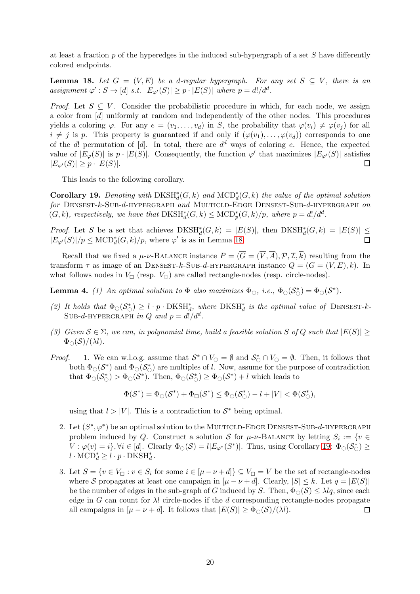at least a fraction  $p$  of the hyperedges in the induced sub-hypergraph of a set  $S$  have differently colored endpoints.

<span id="page-19-0"></span>**Lemma 18.** Let  $G = (V, E)$  be a d-regular hypergraph. For any set  $S \subseteq V$ , there is an assignment  $\varphi' : S \to [d] \; s.t. \; |E_{\varphi'}(S)| \geq p \cdot |E(S)| \; where \; p = d!/d^d.$ 

*Proof.* Let  $S \subseteq V$ . Consider the probabilistic procedure in which, for each node, we assign a color from [d] uniformly at random and independently of the other nodes. This procedures yields a coloring  $\varphi$ . For any  $e = (v_1, \ldots, v_d)$  in S, the probability that  $\varphi(v_i) \neq \varphi(v_j)$  for all  $i \neq j$  is p. This property is guaranteed if and only if  $(\varphi(v_1), \ldots, \varphi(v_d))$  corresponds to one of the d! permutation of [d]. In total, there are  $d^d$  ways of coloring e. Hence, the expected value of  $|E_{\varphi}(S)|$  is  $p \cdot |E(S)|$ . Consequently, the function  $\varphi'$  that maximizes  $|E_{\varphi'}(S)|$  satisfies  $|E_{\varphi'}(S)| \geq p \cdot |E(S)|$ .

This leads to the following corollary.

<span id="page-19-1"></span>**Corollary 19.** Denoting with  $DKSH_d^*(G, k)$  and  $MCD_d^*(G, k)$  the value of the optimal solution *for* Densest-k-Sub-d-hypergraph *and* Multicld-Edge Densest-Sub-d-hypergraph *on*  $(G, k)$ , respectively, we have that  $DKSH_d^*(G, k) \leq MCD_p^*(G, k)/p$ , where  $p = d!/d^d$ .

*Proof.* Let S be a set that achieves  $DKSH_d^*(G, k) = |E(S)|$ , then  $DKSH_d^*(G, k) = |E(S)| \le$  $|E_{\varphi'}(S)|/p \leq \mathrm{MCD}^*_d(G,k)/p$ , where  $\varphi'$  is as in Lemma [18.](#page-19-0)

Recall that we fixed a  $\mu$ - $\nu$ -BALANCE instance  $P = (\overline{G} = (\overline{V}, \overline{A}), \mathcal{P}, \mathcal{I}, \overline{k})$  resulting from the transform  $\tau$  as image of an DENSEST-k-SUB-d-HYPERGRAPH instance  $Q = (G = (V, E), k)$ . In what follows nodes in  $V_{\Box}$  (resp.  $V_{\odot}$ ) are called rectangle-nodes (resp. circle-nodes).

**Lemma 4.** (1) An optimal solution to  $\Phi$  also maximizes  $\Phi_{\bigcirc}$ , i.e.,  $\Phi_{\bigcirc}(\mathcal{S}_{\bigcirc}^{*}) = \Phi_{\bigcirc}(\mathcal{S}^{*})$ .

- (2) It holds that  $\Phi_{\circlearrowleft}(\mathcal{S}_{\circlearrowleft}^{*}) \geq l \cdot p \cdot \text{DKSH}_{d}^{*}$ , where  $\text{DKSH}_{d}^{*}$  is the optimal value of DENSEST-k-Sub-d-hypergraph in Q and  $p = d!/d^d$ .
- *(3)* Given  $S \∈ \Sigma$ , we can, in polynomial time, build a feasible solution S of Q such that  $|E(S)|$  >  $\Phi_{\bigcirc}(\mathcal{S})/(\lambda l).$
- *Proof.* 1. We can w.l.o.g. assume that  $S^* \cap V_{\bigcirc} = \emptyset$  and  $S^* \cap V_{\bigcirc} = \emptyset$ . Then, it follows that both  $\Phi_{\bigcirc}(S^*)$  and  $\Phi_{\bigcirc}(S^*_{\bigcirc})$  are multiples of l. Now, assume for the purpose of contradiction that  $\Phi_{\bigcirc}(S_{\bigcirc}^*) > \Phi_{\bigcirc}(S^*)$ . Then,  $\Phi_{\bigcirc}(S_{\bigcirc}^*) \ge \Phi_{\bigcirc}(S^*) + l$  which leads to

$$
\Phi(\mathcal{S}^*) = \Phi_{\bigcirc}(\mathcal{S}^*) + \Phi_{\Box}(\mathcal{S}^*) \leq \Phi_{\bigcirc}(\mathcal{S}_{\bigcirc}^*) - l + |V| < \Phi(\mathcal{S}_{\bigcirc}^*),
$$

using that  $l > |V|$ . This is a contradiction to  $S^*$  being optimal.

- 2. Let  $(S^*,\varphi^*)$  be an optimal solution to the MULTICLD-EDGE DENSEST-SUB-d-HYPERGRAPH problem induced by Q. Construct a solution S for  $\mu$ - $\nu$ -BALANCE by letting  $S_i := \{v \in$  $V: \varphi(v) = i$ ,  $\forall i \in [d]$ . Clearly  $\Phi_{\bigcirc}(S) = l |E_{\varphi^*}(S^*)|$ . Thus, using Corollary [19:](#page-19-1)  $\Phi_{\bigcirc}(S^*) \ge$  $l \cdot \text{MCD}^*_d \geq l \cdot p \cdot \text{DKSH}^*_d$ .
- 3. Let  $S = \{v \in V_{\square} : v \in S_i \text{ for some } i \in [\mu \nu + d] \} \subseteq V_{\square} = V$  be the set of rectangle-nodes where S propagates at least one campaign in  $[\mu - \nu + d]$ . Clearly,  $|S| \leq k$ . Let  $q = |E(S)|$ be the number of edges in the sub-graph of G induced by S. Then,  $\Phi_{\cap}(\mathcal{S}) \leq \lambda \mathcal{U}_q$ , since each edge in G can count for  $\lambda l$  circle-nodes if the d corresponding rectangle-nodes propagate all campaigns in  $[\mu - \nu + d]$ . It follows that  $|E(S)| \geq \Phi_{\odot}(S)/(\lambda l)$ .  $\Box$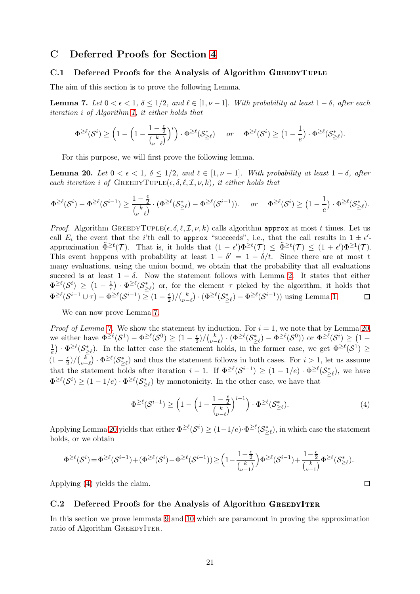### <span id="page-20-0"></span>C Deferred Proofs for Section [4](#page-8-0)

#### C.1 Deferred Proofs for the Analysis of Algorithm GREEDYTUPLE

The aim of this section is to prove the following Lemma.

**Lemma 7.** *Let*  $0 < \epsilon < 1$ *,*  $\delta \leq 1/2$ *, and*  $\ell \in [1, \nu - 1]$ *. With probability at least*  $1 - \delta$ *, after each iteration* i *of Algorithm [1,](#page-8-1) it either holds that*

$$
\Phi^{\geq \ell}(\mathcal{S}^i) \geq \Big(1-\Big(1-\frac{1-\frac{\epsilon}{2}}{\binom{k}{\nu-\ell}}\Big)^i\Big)\cdot \Phi^{\geq \ell}(\mathcal{S}^*_{\geq \ell}) \quad \text{ or } \quad \Phi^{\geq \ell}(\mathcal{S}^i) \geq \big(1-\frac{1}{e}\big)\cdot \Phi^{\geq \ell}(\mathcal{S}^*_{\geq \ell}).
$$

For this purpose, we will first prove the following lemma.

<span id="page-20-2"></span>**Lemma 20.** *Let* 0 <  $\epsilon$  < 1, δ ≤ 1/2*,* and  $\ell$  ∈ [1,  $\nu$  − 1]*. With probability at least* 1 − δ*, after each iteration i of* GREEDYTUPLE( $\epsilon$ ,  $\delta$ ,  $\ell$ ,  $\mathcal{I}$ ,  $\nu$ ,  $k$ ), *it either holds that* 

$$
\Phi^{\geq \ell}(\mathcal{S}^i) - \Phi^{\geq \ell}(\mathcal{S}^{i-1}) \geq \frac{1 - \frac{\epsilon}{2}}{\binom{k}{\nu - \ell}} \cdot (\Phi^{\geq \ell}(\mathcal{S}^*_{\geq \ell}) - \Phi^{\geq \ell}(\mathcal{S}^{i-1})). \quad \text{ or } \quad \Phi^{\geq \ell}(\mathcal{S}^i) \geq \left(1 - \frac{1}{e}\right) \cdot \Phi^{\geq \ell}(\mathcal{S}^*_{\geq \ell}).
$$

*Proof.* Algorithm GREEDYTUPLE( $\epsilon, \delta, \ell, \mathcal{I}, \nu, k$ ) calls algorithm approx at most t times. Let us call  $E_i$  the event that the *i*'th call to approx "succeeds", i.e., that the call results in  $1 \pm \epsilon'$ approximation  $\tilde{\Phi}^{\geq \ell}(\mathcal{T})$ . That is, it holds that  $(1 - \epsilon')\Phi^{\geq \ell}(\mathcal{T}) \leq \tilde{\Phi}^{\geq \ell}(\mathcal{T}) \leq (1 + \epsilon')\Phi^{\geq 1}(\mathcal{T})$ . This event happens with probability at least  $1 - \delta' = 1 - \delta/t$ . Since there are at most t many evaluations, using the union bound, we obtain that the probability that all evaluations succeed is at least  $1 - \delta$ . Now the statement follows with Lemma [2.](#page-5-1) It states that either  $\Phi^{\geq \ell}(\mathcal{S}^i) \geq (1-\frac{1}{e}) \cdot \Phi^{\geq \ell}(\mathcal{S}^*_{\geq \ell})$  or, for the element  $\tau$  picked by the algorithm, it holds that  $\Phi^{\geq \ell}(\mathcal{S}^{i-1} \cup \tau) - \Phi^{\geq \ell}(\mathcal{S}^{i-1}) \geq (1 - \frac{\epsilon}{2})$  $\frac{\epsilon}{2})/(\frac{k}{\nu-1})$  $\frac{k}{\nu-\ell}$ ) · ( $\Phi^{\geq \ell}(\mathcal{S}_{\geq \ell}^*) - \Phi^{\geq \ell}(\mathcal{S}^{i-1})$ ) using Lemma [1.](#page-4-1)  $\Box$ 

We can now prove Lemma [7.](#page-8-3)

*Proof of Lemma* [7.](#page-8-3) We show the statement by induction. For  $i = 1$ , we note that by Lemma [20,](#page-20-2) we either have  $\Phi^{\geq \ell}(\mathcal{S}^1) - \Phi^{\geq \ell}(\mathcal{S}^0) \geq (1 - \frac{\epsilon}{2})$  $\frac{\epsilon}{2})/(\frac{k}{\nu-1})$  $\frac{k}{\nu-\ell}\big)\cdot(\Phi^{\geq \ell}(\mathcal{S}^*_{\geq \ell}) - \Phi^{\geq \ell}(\mathcal{S}^0)) \,\,\text{or}\,\, \Phi^{\geq \ell}(\mathcal{S}^i) \geq \big(1-\frac{1}{\nu}\big)$ 1  $\frac{1}{e}$ .  $\Phi^{\geq \ell}(\mathcal{S}_{\geq \ell}^*)$ . In the latter case the statement holds, in the former case, we get  $\Phi^{\geq \ell}(\mathcal{S}^1)$   $\geq$  $(1-\frac{\epsilon}{2})$  $\frac{\epsilon}{2})/(\frac{k}{\nu-1})$  $v_{\nu-\ell}^k$ )  $\cdot \Phi^{\geq \ell}(\mathcal{S}_{\geq \ell}^*)$  and thus the statement follows in both cases. For  $i > 1$ , let us assume that the statement holds after iteration  $i-1$ . If  $\Phi^{\geq \ell}(\mathcal{S}^{i-1}) \geq (1-1/e) \cdot \Phi^{\geq \ell}(\mathcal{S}^*_{\geq \ell})$ , we have  $\Phi^{\geq \ell}(\mathcal{S}^i) \geq (1-1/e) \cdot \Phi^{\geq \ell}(\mathcal{S}^*_{\geq \ell})$  by monotonicity. In the other case, we have that

$$
\Phi^{\geq \ell}(\mathcal{S}^{i-1}) \geq \left(1 - \left(1 - \frac{1 - \frac{\epsilon}{2}}{\binom{k}{\nu - \ell}}\right)^{i-1}\right) \cdot \Phi^{\geq \ell}(\mathcal{S}^*_{\geq \ell}).\tag{4}
$$

<span id="page-20-3"></span> $\Box$ 

Applying Lemma [20](#page-20-2) yields that either  $\Phi^{\geq \ell}(\mathcal{S}^i) \geq (1-1/e) \cdot \Phi^{\geq \ell}(\mathcal{S}^*_{\geq \ell})$ , in which case the statement holds, or we obtain

$$
\Phi^{\geq \ell}(\mathcal{S}^i)=\Phi^{\geq \ell}(\mathcal{S}^{i-1})+(\Phi^{\geq \ell}(\mathcal{S}^i)-\Phi^{\geq \ell}(\mathcal{S}^{i-1}))\geq \Big(1-\frac{1-\frac{\epsilon}{2}}{\binom{k}{\nu-1}}\Big)\Phi^{\geq \ell}(\mathcal{S}^{i-1})+\frac{1-\frac{\epsilon}{2}}{\binom{k}{\nu-1}}\Phi^{\geq \ell}(\mathcal{S}^*_{\geq \ell}).
$$

Applying [\(4\)](#page-20-3) yields the claim.

#### <span id="page-20-1"></span>C.2 Deferred Proofs for the Analysis of Algorithm GREEDYITER

In this section we prove lemmata [9](#page-9-2) and [10](#page-9-1) which are paramount in proving the approximation ratio of Algorithm GREEDYITER.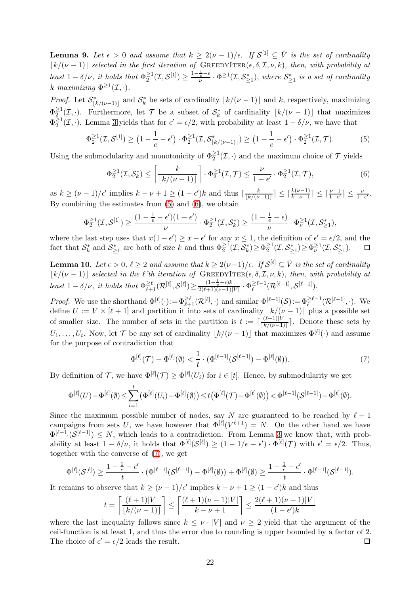**Lemma 9.** Let  $\epsilon > 0$  and assume that  $k \geq 2(\nu - 1)/\epsilon$ . If  $\mathcal{S}^{[1]} \subseteq \hat{V}$  is the set of cardinality  $\lfloor k/(\nu-1)\rfloor$  *selected in the first iteration of* GREEDYITER( $\epsilon, \delta, \mathcal{I}, \nu, k$ ), then, with probability at *least*  $1 - \delta/\nu$ *, it holds that*  $\Phi_2^{\geq 1}$  $\frac{\geq 1}{2}(\mathcal{I},\mathcal{S}^{[1]}) \geq \frac{1-\frac{1}{e}-\epsilon}{\nu} \cdot \Phi^{\geq 1}(\mathcal{I},\mathcal{S}_{\geq 1}^*),$  where  $\mathcal{S}_{\geq 1}^*$  is a set of cardinality k maximizing  $\Phi^{\geq 1}(\mathcal{I},\cdot).$ 

*Proof.* Let  $S^*_{\lfloor k/(\nu-1)\rfloor}$  and  $S^*_{k}$  be sets of cardinality  $\lfloor k/(\nu-1)\rfloor$  and k, respectively, maximizing  $\Phi_2^{\geq 1}$  $\sum_{k=1}^{n} (1, \cdot)$ . Furthermore, let T be a subset of  $S_k^*$  of cardinality  $\lfloor k/(\nu-1) \rfloor$  that maximizes  $\Phi_{2}^{\geq 1}$  $\frac{\geq 1}{2}(\mathcal{I},\cdot)$ . Lemma [3](#page-5-3) yields that for  $\epsilon' = \epsilon/2$ , with probability at least  $1 - \delta/\nu$ , we have that

$$
\Phi_2^{\geq 1}(\mathcal{I}, \mathcal{S}^{[1]}) \geq \left(1 - \frac{1}{e} - \epsilon'\right) \cdot \Phi_2^{\geq 1}(\mathcal{I}, \mathcal{S}^*_{\lfloor k/(\nu - 1) \rfloor}) \geq \left(1 - \frac{1}{e} - \epsilon'\right) \cdot \Phi_2^{\geq 1}(\mathcal{I}, \mathcal{T}).\tag{5}
$$

Using the submodularity and monotonicity of  $\Phi_2^{\geq 1}(\mathcal{I},\cdot)$  and the maximum choice of  $\mathcal T$  yields

<span id="page-21-1"></span><span id="page-21-0"></span>
$$
\Phi_2^{\geq 1}(\mathcal{I}, \mathcal{S}_k^*) \leq \left\lceil \frac{k}{\lfloor k/(\nu - 1) \rfloor} \right\rceil \cdot \Phi_2^{\geq 1}(\mathcal{I}, \mathcal{T}) \leq \frac{\nu}{1 - \epsilon'} \cdot \Phi_2^{\geq 1}(\mathcal{I}, \mathcal{T}),\tag{6}
$$

as  $k \geq (\nu - 1)/\epsilon'$  implies  $k - \nu + 1 \geq (1 - \epsilon')k$  and thus  $\lceil \frac{k}{\lfloor k/\nu \rfloor} \rceil$  $\frac{k}{\lfloor k/(\nu-1)\rfloor}\rceil \leq \lceil \frac{k(\nu-1)}{k-\nu+1}\rceil \leq \lceil \frac{\nu-1}{1-\epsilon'}\rceil \leq \frac{\nu}{1-\epsilon'}$ . By combining the estimates from [\(5\)](#page-21-0) and [\(6\)](#page-21-1), we obtain

$$
\Phi_2^{\geq 1}(\mathcal{I},\mathcal{S}^{[1]})\geq \frac{(1-\frac{1}{e}-\epsilon')(1-\epsilon')}{\nu}\cdot \Phi_2^{\geq 1}(\mathcal{I},\mathcal{S}_k^*)\geq \frac{(1-\frac{1}{e}-\epsilon)}{\nu}\cdot \Phi_\nu^{\geq 1}(\mathcal{I},\mathcal{S}_{\geq 1}^*),
$$

where the last step uses that  $x(1 - \epsilon') \ge x - \epsilon'$  for any  $x \le 1$ , the definition of  $\epsilon' = \epsilon/2$ , and the fact that  $\mathcal{S}_k^*$  and  $\mathcal{S}_{\geq 1}^*$  are both of size k and thus  $\Phi_2^{\geq 1}(\mathcal{I}, \mathcal{S}_k^*) \geq \Phi_2^{\geq 1}$  $\frac{\geq 1}{2}(\mathcal{I},\mathcal{S}_{\geq 1}^*) \geq \Phi_{\nu}^{\geq 1}(\mathcal{I},\mathcal{S}_{\geq 1}^*).$ 

Lemma 10. Let  $\epsilon > 0$ ,  $\ell \geq 2$  and assume that  $k \geq 2(\nu-1)/\epsilon$ . If  $\mathcal{S}^{[\ell]} \subseteq \hat{V}$  is the set of cardinality  $\lfloor k/(\nu-1) \rfloor$  *selected in the* ℓ<sup>*'th iteration of* GREEDYITER( $\epsilon$ ,  $\delta$ ,  $\mathcal{I}$ ,  $\nu$ ,  $k$ ), then, with probability at</sup>  $least\ 1-\delta/\nu, \ it \ holds\ that\ \Phi_{\ell+1}^{\geq \ell}(\mathcal{R}^{[\ell]},\mathcal{S}^{[\ell]}) \geq \frac{(1-\frac{1}{e}-\epsilon)k}{2(\ell+1)(\nu-1)|V|} \cdot \Phi_{\ell}^{\geq \ell-1}$  $\frac{\geq \ell-1}{\ell}(\mathcal{R}^{[\ell-1]},\mathcal{S}^{[\ell-1]}).$ 

*Proof.* We use the shorthand  $\Phi^{[\ell]}(\cdot) := \Phi_{\ell+1}^{\geq \ell}(\mathcal{R}^{[\ell]},\cdot)$  and similar  $\Phi^{[\ell-1]}(\mathcal{S}) := \Phi_{\ell}^{\geq \ell-1}(\mathcal{R}^{[\ell-1]},\cdot)$ . We define  $U := V \times [\ell + 1]$  and partition it into sets of cardinality  $\lfloor k/(\nu - 1) \rfloor$  plus a possible set of smaller size. The number of sets in the partition is  $t := \lceil \frac{(\ell+1)|V|}{\lfloor k/(\nu-1) \rfloor} \rceil$  $\frac{(k+1)|V|}{[k/(\nu-1)]}$ . Denote these sets by  $U_1, \ldots, U_t$ . Now, let  $\mathcal T$  be any set of cardinality  $\lfloor k/(\nu-1)\rfloor$  that maximizes  $\Phi^{[\ell]}(\cdot)$  and assume for the purpose of contradiction that

<span id="page-21-2"></span>
$$
\Phi^{[\ell]}(\mathcal{T}) - \Phi^{[\ell]}(\emptyset) < \frac{1}{t} \cdot (\Phi^{[\ell-1]}(\mathcal{S}^{[\ell-1]}) - \Phi^{[\ell]}(\emptyset)).\tag{7}
$$

By definition of  $\mathcal{T}$ , we have  $\Phi^{[\ell]}(\mathcal{T}) \geq \Phi^{[\ell]}(U_i)$  for  $i \in [t]$ . Hence, by submodularity we get

$$
\Phi^{[\ell]}(U) - \Phi^{[\ell]}(\emptyset) \leq \sum_{i=1}^t \left( \Phi^{[\ell]}(U_i) - \Phi^{[\ell]}(\emptyset) \right) \leq t \left( \Phi^{[\ell]}(\mathcal{T}) - \Phi^{[\ell]}(\emptyset) \right) < \Phi^{[\ell-1]}(\mathcal{S}^{[\ell-1]}) - \Phi^{[\ell]}(\emptyset).
$$

Since the maximum possible number of nodes, say N are guaranteed to be reached by  $\ell + 1$ campaigns from sets U, we have however that  $\Phi^{[\ell]}(V^{\ell+1}) = N$ . On the other hand we have  $\Phi^{[\ell-1]}(\mathcal{S}^{[\ell-1]}) \leq N$ , which leads to a contradiction. From Lemma [3](#page-5-3) we know that, with probability at least  $1 - \delta/\nu$ , it holds that  $\Phi^{[\ell]}(\mathcal{S}^{[\ell]}) \geq (1 - 1/e - \epsilon') \cdot \Phi^{[\ell]}(\mathcal{T})$  with  $\epsilon' = \epsilon/2$ . Thus, together with the converse of [\(7\)](#page-21-2), we get

$$
\Phi^{[\ell]}(\mathcal{S}^{[\ell]}) \geq \frac{1 - \frac{1}{e} - \epsilon'}{t} \cdot (\Phi^{[\ell-1]}(\mathcal{S}^{[\ell-1]}) - \Phi^{[\ell]}(\emptyset)) + \Phi^{[\ell]}(\emptyset) \geq \frac{1 - \frac{1}{e} - \epsilon'}{t} \cdot \Phi^{[\ell-1]}(\mathcal{S}^{[\ell-1]}).
$$

It remains to observe that  $k \geq (\nu - 1)/\epsilon'$  implies  $k - \nu + 1 \geq (1 - \epsilon')k$  and thus

$$
t = \left\lceil \frac{(\ell+1)|V|}{\lfloor k/(\nu-1) \rfloor} \right\rceil \le \left\lceil \frac{(\ell+1)(\nu-1)|V|}{k-\nu+1} \right\rceil \le \frac{2(\ell+1)(\nu-1)|V|}{(1-\epsilon')k}
$$

where the last inequality follows since  $k \leq \nu \cdot |V|$  and  $\nu \geq 2$  yield that the argument of the ceil-function is at least 1, and thus the error due to rounding is upper bounded by a factor of 2. The choice of  $\epsilon' = \epsilon/2$  leads the result.  $\Box$